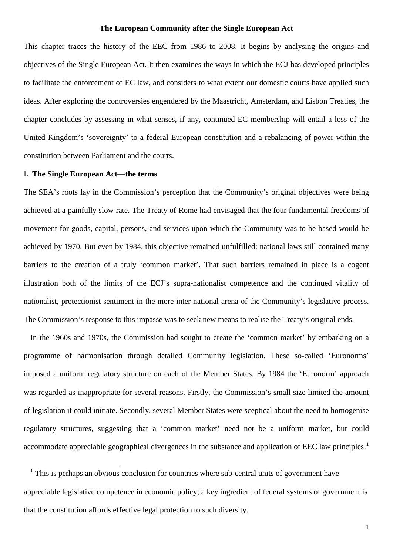#### **The European Community after the Single European Act**

This chapter traces the history of the EEC from 1986 to 2008. It begins by analysing the origins and objectives of the Single European Act. It then examines the ways in which the ECJ has developed principles to facilitate the enforcement of EC law, and considers to what extent our domestic courts have applied such ideas. After exploring the controversies engendered by the Maastricht, Amsterdam, and Lisbon Treaties, the chapter concludes by assessing in what senses, if any, continued EC membership will entail a loss of the United Kingdom's 'sovereignty' to a federal European constitution and a rebalancing of power within the constitution between Parliament and the courts.

#### I. **The Single European Act—the terms**

-

The SEA's roots lay in the Commission's perception that the Community's original objectives were being achieved at a painfully slow rate. The Treaty of Rome had envisaged that the four fundamental freedoms of movement for goods, capital, persons, and services upon which the Community was to be based would be achieved by 1970. But even by 1984, this objective remained unfulfilled: national laws still contained many barriers to the creation of a truly 'common market'. That such barriers remained in place is a cogent illustration both of the limits of the ECJ's supra-nationalist competence and the continued vitality of nationalist, protectionist sentiment in the more inter-national arena of the Community's legislative process. The Commission's response to this impasse was to seek new means to realise the Treaty's original ends.

In the 1960s and 1970s, the Commission had sought to create the 'common market' by embarking on a programme of harmonisation through detailed Community legislation. These so-called 'Euronorms' imposed a uniform regulatory structure on each of the Member States. By 1984 the 'Euronorm' approach was regarded as inappropriate for several reasons. Firstly, the Commission's small size limited the amount of legislation it could initiate. Secondly, several Member States were sceptical about the need to homogenise regulatory structures, suggesting that a 'common market' need not be a uniform market, but could accommodate appreciable geographical divergences in the substance and application of EEC law principles.<sup>[1](#page-0-0)</sup>

<span id="page-0-0"></span><sup>&</sup>lt;sup>1</sup> This is perhaps an obvious conclusion for countries where sub-central units of government have appreciable legislative competence in economic policy; a key ingredient of federal systems of government is that the constitution affords effective legal protection to such diversity.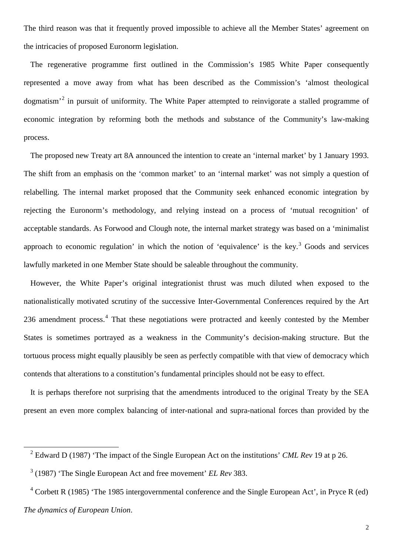The third reason was that it frequently proved impossible to achieve all the Member States' agreement on the intricacies of proposed Euronorm legislation.

The regenerative programme first outlined in the Commission's 1985 White Paper consequently represented a move away from what has been described as the Commission's 'almost theological dogmatism'[2](#page-1-0) in pursuit of uniformity. The White Paper attempted to reinvigorate a stalled programme of economic integration by reforming both the methods and substance of the Community's law-making process.

The proposed new Treaty art 8A announced the intention to create an 'internal market' by 1 January 1993. The shift from an emphasis on the 'common market' to an 'internal market' was not simply a question of relabelling. The internal market proposed that the Community seek enhanced economic integration by rejecting the Euronorm's methodology, and relying instead on a process of 'mutual recognition' of acceptable standards. As Forwood and Clough note, the internal market strategy was based on a 'minimalist approach to economic regulation' in which the notion of 'equivalence' is the key.<sup>[3](#page-1-1)</sup> Goods and services lawfully marketed in one Member State should be saleable throughout the community.

However, the White Paper's original integrationist thrust was much diluted when exposed to the nationalistically motivated scrutiny of the successive Inter-Governmental Conferences required by the Art 236 amendment process.<sup>[4](#page-1-2)</sup> That these negotiations were protracted and keenly contested by the Member States is sometimes portrayed as a weakness in the Community's decision-making structure. But the tortuous process might equally plausibly be seen as perfectly compatible with that view of democracy which contends that alterations to a constitution's fundamental principles should not be easy to effect.

It is perhaps therefore not surprising that the amendments introduced to the original Treaty by the SEA present an even more complex balancing of inter-national and supra-national forces than provided by the

<span id="page-1-0"></span><sup>2</sup> Edward D (1987) 'The impact of the Single European Act on the institutions' *CML Rev* 19 at p 26.

<sup>3</sup> (1987) 'The Single European Act and free movement' *EL Rev* 383.

<span id="page-1-2"></span><span id="page-1-1"></span><sup>&</sup>lt;sup>4</sup> Corbett R (1985) 'The 1985 intergovernmental conference and the Single European Act', in Pryce R (ed) *The dynamics of European Union*.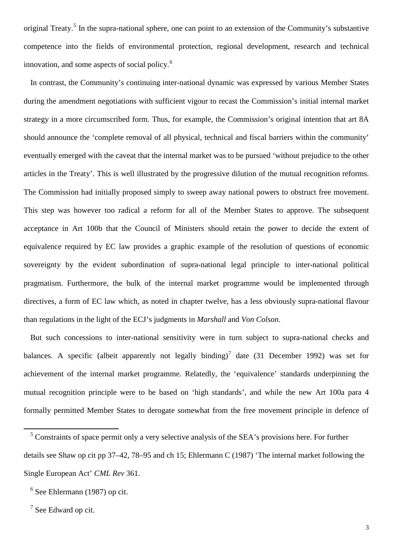original Treaty.<sup>[5](#page-2-0)</sup> In the supra-national sphere, one can point to an extension of the Community's substantive competence into the fields of environmental protection, regional development, research and technical innovation, and some aspects of social policy.[6](#page-2-1)

In contrast, the Community's continuing inter-national dynamic was expressed by various Member States during the amendment negotiations with sufficient vigour to recast the Commission's initial internal market strategy in a more circumscribed form. Thus, for example, the Commission's original intention that art 8A should announce the 'complete removal of all physical, technical and fiscal barriers within the community' eventually emerged with the caveat that the internal market was to be pursued 'without prejudice to the other articles in the Treaty'. This is well illustrated by the progressive dilution of the mutual recognition reforms. The Commission had initially proposed simply to sweep away national powers to obstruct free movement. This step was however too radical a reform for all of the Member States to approve. The subsequent acceptance in Art 100b that the Council of Ministers should retain the power to decide the extent of equivalence required by EC law provides a graphic example of the resolution of questions of economic sovereignty by the evident subordination of supra-national legal principle to inter-national political pragmatism. Furthermore, the bulk of the internal market programme would be implemented through directives, a form of EC law which, as noted in chapter twelve, has a less obviously supra-national flavour than regulations in the light of the ECJ's judgments in *Marshall* and *Von Colson*.

But such concessions to inter-national sensitivity were in turn subject to supra-national checks and balances. A specific (albeit apparently not legally binding)<sup>[7](#page-2-2)</sup> date (31 December 1992) was set for achievement of the internal market programme. Relatedly, the 'equivalence' standards underpinning the mutual recognition principle were to be based on 'high standards', and while the new Art 100a para 4 formally permitted Member States to derogate somewhat from the free movement principle in defence of

<u>.</u>

<span id="page-2-0"></span><sup>&</sup>lt;sup>5</sup> Constraints of space permit only a very selective analysis of the SEA's provisions here. For further details see Shaw op cit pp 37–42, 78–95 and ch 15; Ehlermann C (1987) 'The internal market following the Single European Act' *CML Rev* 361.

<span id="page-2-1"></span> $<sup>6</sup>$  See Ehlermann (1987) op cit.</sup>

<span id="page-2-2"></span><sup>7</sup> See Edward op cit.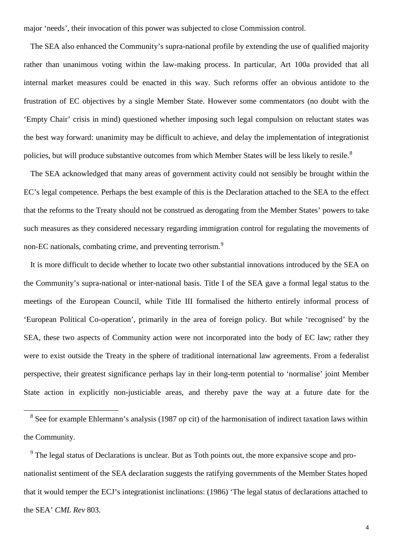major 'needs', their invocation of this power was subjected to close Commission control.

The SEA also enhanced the Community's supra-national profile by extending the use of qualified majority rather than unanimous voting within the law-making process. In particular, Art 100a provided that all internal market measures could be enacted in this way. Such reforms offer an obvious antidote to the frustration of EC objectives by a single Member State. However some commentators (no doubt with the 'Empty Chair' crisis in mind) questioned whether imposing such legal compulsion on reluctant states was the best way forward: unanimity may be difficult to achieve, and delay the implementation of integrationist policies, but will produce substantive outcomes from which Member States will be less likely to resile.<sup>[8](#page-3-0)</sup>

The SEA acknowledged that many areas of government activity could not sensibly be brought within the EC's legal competence. Perhaps the best example of this is the Declaration attached to the SEA to the effect that the reforms to the Treaty should not be construed as derogating from the Member States' powers to take such measures as they considered necessary regarding immigration control for regulating the movements of non-EC nationals, combating crime, and preventing terrorism.<sup>[9](#page-3-1)</sup>

It is more difficult to decide whether to locate two other substantial innovations introduced by the SEA on the Community's supra-national or inter-national basis. Title I of the SEA gave a formal legal status to the meetings of the European Council, while Title III formalised the hitherto entirely informal process of 'European Political Co-operation', primarily in the area of foreign policy. But while 'recognised' by the SEA, these two aspects of Community action were not incorporated into the body of EC law; rather they were to exist outside the Treaty in the sphere of traditional international law agreements. From a federalist perspective, their greatest significance perhaps lay in their long-term potential to 'normalise' joint Member State action in explicitly non-justiciable areas, and thereby pave the way at a future date for the

<span id="page-3-0"></span><sup>8</sup> See for example Ehlermann's analysis (1987 op cit) of the harmonisation of indirect taxation laws within the Community.

-

<span id="page-3-1"></span><sup>9</sup> The legal status of Declarations is unclear. But as Toth points out, the more expansive scope and pronationalist sentiment of the SEA declaration suggests the ratifying governments of the Member States hoped that it would temper the ECJ's integrationist inclinations: (1986) 'The legal status of declarations attached to the SEA' *CML Rev* 803.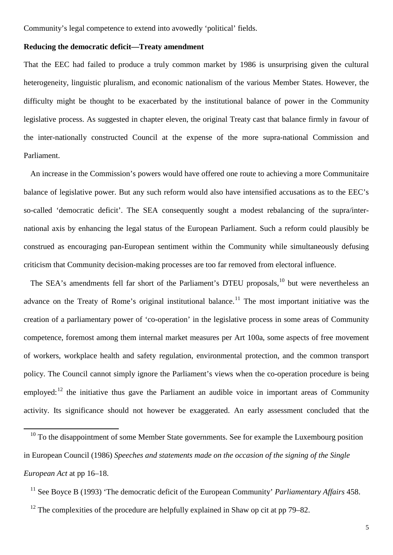Community's legal competence to extend into avowedly 'political' fields.

#### **Reducing the democratic deficit—Treaty amendment**

That the EEC had failed to produce a truly common market by 1986 is unsurprising given the cultural heterogeneity, linguistic pluralism, and economic nationalism of the various Member States. However, the difficulty might be thought to be exacerbated by the institutional balance of power in the Community legislative process. As suggested in chapter eleven, the original Treaty cast that balance firmly in favour of the inter-nationally constructed Council at the expense of the more supra-national Commission and Parliament.

An increase in the Commission's powers would have offered one route to achieving a more Communitaire balance of legislative power. But any such reform would also have intensified accusations as to the EEC's so-called 'democratic deficit'. The SEA consequently sought a modest rebalancing of the supra/international axis by enhancing the legal status of the European Parliament. Such a reform could plausibly be construed as encouraging pan-European sentiment within the Community while simultaneously defusing criticism that Community decision-making processes are too far removed from electoral influence.

The SEA's amendments fell far short of the Parliament's DTEU proposals,<sup>[10](#page-4-0)</sup> but were nevertheless an advance on the Treaty of Rome's original institutional balance.<sup>[11](#page-4-1)</sup> The most important initiative was the creation of a parliamentary power of 'co-operation' in the legislative process in some areas of Community competence, foremost among them internal market measures per Art 100a, some aspects of free movement of workers, workplace health and safety regulation, environmental protection, and the common transport policy. The Council cannot simply ignore the Parliament's views when the co-operation procedure is being employed:<sup>[12](#page-4-2)</sup> the initiative thus gave the Parliament an audible voice in important areas of Community activity. Its significance should not however be exaggerated. An early assessment concluded that the

<u>.</u>

<span id="page-4-0"></span> $10$  To the disappointment of some Member State governments. See for example the Luxembourg position in European Council (1986) *Speeches and statements made on the occasion of the signing of the Single European Act* at pp 16–18.

<span id="page-4-1"></span><sup>&</sup>lt;sup>11</sup> See Boyce B (1993) 'The democratic deficit of the European Community' *Parliamentary Affairs* 458.

<span id="page-4-2"></span> $12$  The complexities of the procedure are helpfully explained in Shaw op cit at pp 79–82.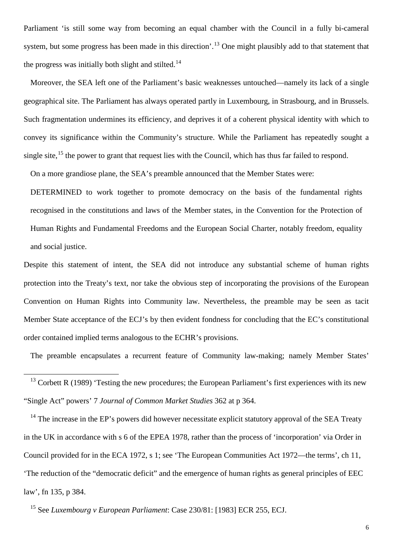Parliament 'is still some way from becoming an equal chamber with the Council in a fully bi-cameral system, but some progress has been made in this direction'.<sup>[13](#page-5-0)</sup> One might plausibly add to that statement that the progress was initially both slight and stilted.<sup>[14](#page-5-1)</sup>

Moreover, the SEA left one of the Parliament's basic weaknesses untouched—namely its lack of a single geographical site. The Parliament has always operated partly in Luxembourg, in Strasbourg, and in Brussels. Such fragmentation undermines its efficiency, and deprives it of a coherent physical identity with which to convey its significance within the Community's structure. While the Parliament has repeatedly sought a single site, $15$  the power to grant that request lies with the Council, which has thus far failed to respond.

On a more grandiose plane, the SEA's preamble announced that the Member States were:

DETERMINED to work together to promote democracy on the basis of the fundamental rights recognised in the constitutions and laws of the Member states, in the Convention for the Protection of Human Rights and Fundamental Freedoms and the European Social Charter, notably freedom, equality and social justice.

Despite this statement of intent, the SEA did not introduce any substantial scheme of human rights protection into the Treaty's text, nor take the obvious step of incorporating the provisions of the European Convention on Human Rights into Community law. Nevertheless, the preamble may be seen as tacit Member State acceptance of the ECJ's by then evident fondness for concluding that the EC's constitutional order contained implied terms analogous to the ECHR's provisions.

The preamble encapsulates a recurrent feature of Community law-making; namely Member States'

<span id="page-5-0"></span> $13$  Corbett R (1989) 'Testing the new procedures; the European Parliament's first experiences with its new "Single Act" powers' 7 *Journal of Common Market Studies* 362 at p 364.

<span id="page-5-1"></span><sup>14</sup> The increase in the EP's powers did however necessitate explicit statutory approval of the SEA Treaty in the UK in accordance with s 6 of the EPEA 1978, rather than the process of 'incorporation' via Order in Council provided for in the ECA 1972, s 1; see 'The European Communities Act 1972—the terms', ch 11, 'The reduction of the "democratic deficit" and the emergence of human rights as general principles of EEC law', fn 135, p 384.

<span id="page-5-2"></span><sup>15</sup> See *Luxembourg v European Parliament*: Case 230/81: [1983] ECR 255, ECJ.

-

6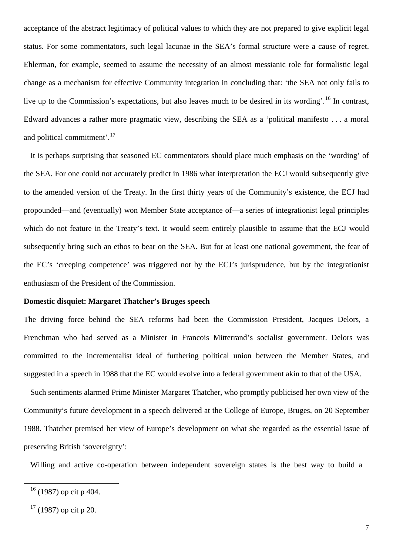acceptance of the abstract legitimacy of political values to which they are not prepared to give explicit legal status. For some commentators, such legal lacunae in the SEA's formal structure were a cause of regret. Ehlerman, for example, seemed to assume the necessity of an almost messianic role for formalistic legal change as a mechanism for effective Community integration in concluding that: 'the SEA not only fails to live up to the Commission's expectations, but also leaves much to be desired in its wording'.<sup>[16](#page-6-0)</sup> In contrast, Edward advances a rather more pragmatic view, describing the SEA as a 'political manifesto . . . a moral and political commitment'.<sup>[17](#page-6-1)</sup>

It is perhaps surprising that seasoned EC commentators should place much emphasis on the 'wording' of the SEA. For one could not accurately predict in 1986 what interpretation the ECJ would subsequently give to the amended version of the Treaty. In the first thirty years of the Community's existence, the ECJ had propounded—and (eventually) won Member State acceptance of—a series of integrationist legal principles which do not feature in the Treaty's text. It would seem entirely plausible to assume that the ECJ would subsequently bring such an ethos to bear on the SEA. But for at least one national government, the fear of the EC's 'creeping competence' was triggered not by the ECJ's jurisprudence, but by the integrationist enthusiasm of the President of the Commission.

## **Domestic disquiet: Margaret Thatcher's Bruges speech**

The driving force behind the SEA reforms had been the Commission President, Jacques Delors, a Frenchman who had served as a Minister in Francois Mitterrand's socialist government. Delors was committed to the incrementalist ideal of furthering political union between the Member States, and suggested in a speech in 1988 that the EC would evolve into a federal government akin to that of the USA.

Such sentiments alarmed Prime Minister Margaret Thatcher, who promptly publicised her own view of the Community's future development in a speech delivered at the College of Europe, Bruges, on 20 September 1988. Thatcher premised her view of Europe's development on what she regarded as the essential issue of preserving British 'sovereignty':

Willing and active co-operation between independent sovereign states is the best way to build a

<span id="page-6-0"></span> $16$  (1987) op cit p 404.

<span id="page-6-1"></span> $17$  (1987) op cit p 20.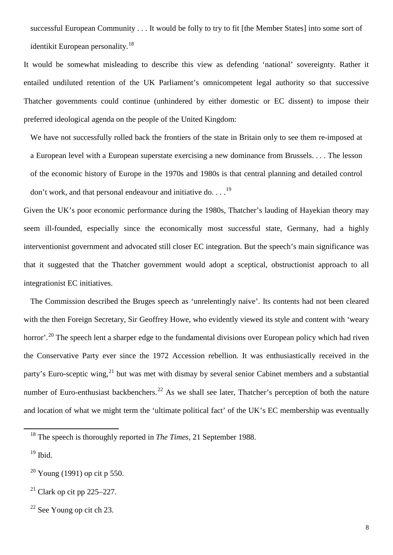successful European Community . . . It would be folly to try to fit [the Member States] into some sort of identikit European personality.<sup>[18](#page-7-0)</sup>

It would be somewhat misleading to describe this view as defending 'national' sovereignty. Rather it entailed undiluted retention of the UK Parliament's omnicompetent legal authority so that successive Thatcher governments could continue (unhindered by either domestic or EC dissent) to impose their preferred ideological agenda on the people of the United Kingdom:

We have not successfully rolled back the frontiers of the state in Britain only to see them re-imposed at a European level with a European superstate exercising a new dominance from Brussels. . . . The lesson of the economic history of Europe in the 1970s and 1980s is that central planning and detailed control don't work, and that personal endeavour and initiative do...<sup>[19](#page-7-1)</sup>

Given the UK's poor economic performance during the 1980s, Thatcher's lauding of Hayekian theory may seem ill-founded, especially since the economically most successful state, Germany, had a highly interventionist government and advocated still closer EC integration. But the speech's main significance was that it suggested that the Thatcher government would adopt a sceptical, obstructionist approach to all integrationist EC initiatives.

The Commission described the Bruges speech as 'unrelentingly naive'. Its contents had not been cleared with the then Foreign Secretary, Sir Geoffrey Howe, who evidently viewed its style and content with 'weary horror'.<sup>[20](#page-7-2)</sup> The speech lent a sharper edge to the fundamental divisions over European policy which had riven the Conservative Party ever since the 1972 Accession rebellion. It was enthusiastically received in the party's Euro-sceptic wing,<sup>[21](#page-7-3)</sup> but was met with dismay by several senior Cabinet members and a substantial number of Euro-enthusiast backbenchers.<sup>[22](#page-7-4)</sup> As we shall see later, Thatcher's perception of both the nature and location of what we might term the 'ultimate political fact' of the UK's EC membership was eventually

<span id="page-7-0"></span><u>.</u>

<sup>18</sup> The speech is thoroughly reported in *The Times*, 21 September 1988.

<span id="page-7-1"></span> $19$  Ibid.

<span id="page-7-2"></span> $20$  Young (1991) op cit p 550.

<span id="page-7-3"></span><sup>&</sup>lt;sup>21</sup> Clark op cit pp 225–227.

<span id="page-7-4"></span> $22$  See Young op cit ch 23.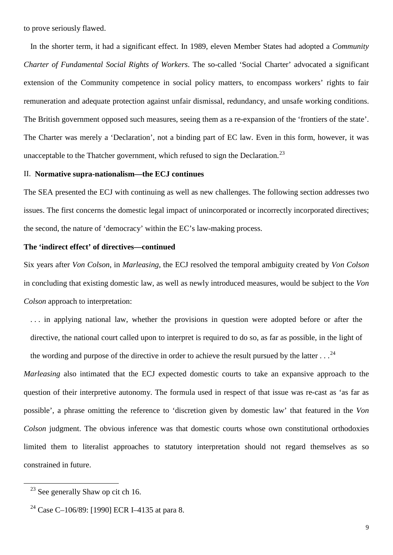to prove seriously flawed.

In the shorter term, it had a significant effect. In 1989, eleven Member States had adopted a *Community Charter of Fundamental Social Rights of Workers*. The so-called 'Social Charter' advocated a significant extension of the Community competence in social policy matters, to encompass workers' rights to fair remuneration and adequate protection against unfair dismissal, redundancy, and unsafe working conditions. The British government opposed such measures, seeing them as a re-expansion of the 'frontiers of the state'. The Charter was merely a 'Declaration', not a binding part of EC law. Even in this form, however, it was unacceptable to the Thatcher government, which refused to sign the Declaration.<sup>[23](#page-8-0)</sup>

#### II. **Normative supra-nationalism—the ECJ continues**

The SEA presented the ECJ with continuing as well as new challenges. The following section addresses two issues. The first concerns the domestic legal impact of unincorporated or incorrectly incorporated directives; the second, the nature of 'democracy' within the EC's law-making process.

## **The 'indirect effect' of directives—continued**

Six years after *Von Colson*, in *Marleasing*, the ECJ resolved the temporal ambiguity created by *Von Colson* in concluding that existing domestic law, as well as newly introduced measures, would be subject to the *Von Colson* approach to interpretation:

. . . in applying national law, whether the provisions in question were adopted before or after the directive, the national court called upon to interpret is required to do so, as far as possible, in the light of the wording and purpose of the directive in order to achieve the result pursued by the latter  $\dots^{24}$  $\dots^{24}$  $\dots^{24}$ 

*Marleasing* also intimated that the ECJ expected domestic courts to take an expansive approach to the question of their interpretive autonomy. The formula used in respect of that issue was re-cast as 'as far as possible', a phrase omitting the reference to 'discretion given by domestic law' that featured in the *Von Colson* judgment. The obvious inference was that domestic courts whose own constitutional orthodoxies limited them to literalist approaches to statutory interpretation should not regard themselves as so constrained in future.

<span id="page-8-0"></span> $23$  See generally Shaw op cit ch 16.

<span id="page-8-1"></span><sup>&</sup>lt;sup>24</sup> Case C-106/89: [1990] ECR I-4135 at para 8.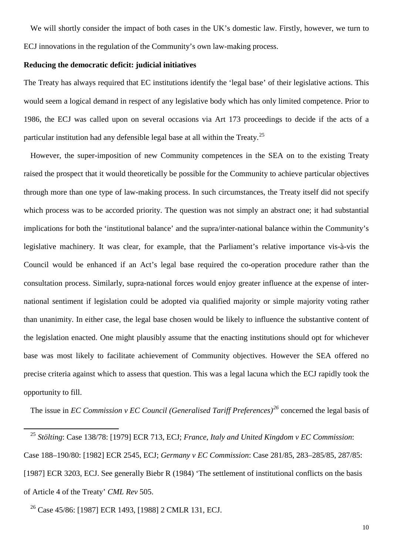We will shortly consider the impact of both cases in the UK's domestic law. Firstly, however, we turn to ECJ innovations in the regulation of the Community's own law-making process.

#### **Reducing the democratic deficit: judicial initiatives**

The Treaty has always required that EC institutions identify the 'legal base' of their legislative actions. This would seem a logical demand in respect of any legislative body which has only limited competence. Prior to 1986, the ECJ was called upon on several occasions via Art 173 proceedings to decide if the acts of a particular institution had any defensible legal base at all within the Treaty.[25](#page-9-0)

However, the super-imposition of new Community competences in the SEA on to the existing Treaty raised the prospect that it would theoretically be possible for the Community to achieve particular objectives through more than one type of law-making process. In such circumstances, the Treaty itself did not specify which process was to be accorded priority. The question was not simply an abstract one; it had substantial implications for both the 'institutional balance' and the supra/inter-national balance within the Community's legislative machinery. It was clear, for example, that the Parliament's relative importance vis-à-vis the Council would be enhanced if an Act's legal base required the co-operation procedure rather than the consultation process. Similarly, supra-national forces would enjoy greater influence at the expense of international sentiment if legislation could be adopted via qualified majority or simple majority voting rather than unanimity. In either case, the legal base chosen would be likely to influence the substantive content of the legislation enacted. One might plausibly assume that the enacting institutions should opt for whichever base was most likely to facilitate achievement of Community objectives. However the SEA offered no precise criteria against which to assess that question. This was a legal lacuna which the ECJ rapidly took the opportunity to fill.

The issue in *EC Commission v EC Council (Generalised Tariff Preferences)[26](#page-9-1)* concerned the legal basis of

<span id="page-9-0"></span><sup>25</sup> *Stölting*: Case 138/78: [1979] ECR 713, ECJ; *France, Italy and United Kingdom v EC Commission*: Case 188–190/80: [1982] ECR 2545, ECJ; *Germany v EC Commission*: Case 281/85, 283–285/85, 287/85: [1987] ECR 3203, ECJ. See generally Biebr R (1984) 'The settlement of institutional conflicts on the basis of Article 4 of the Treaty' *CML Rev* 505. <u>.</u>

<span id="page-9-1"></span><sup>26</sup> Case 45/86: [1987] ECR 1493, [1988] 2 CMLR 131, ECJ.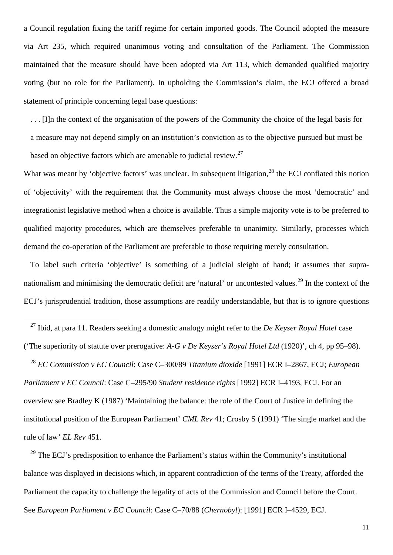a Council regulation fixing the tariff regime for certain imported goods. The Council adopted the measure via Art 235, which required unanimous voting and consultation of the Parliament. The Commission maintained that the measure should have been adopted via Art 113, which demanded qualified majority voting (but no role for the Parliament). In upholding the Commission's claim, the ECJ offered a broad statement of principle concerning legal base questions:

. . . [I]n the context of the organisation of the powers of the Community the choice of the legal basis for a measure may not depend simply on an institution's conviction as to the objective pursued but must be based on objective factors which are amenable to judicial review.<sup>[27](#page-10-0)</sup>

What was meant by 'objective factors' was unclear. In subsequent litigation,<sup>[28](#page-10-1)</sup> the ECJ conflated this notion of 'objectivity' with the requirement that the Community must always choose the most 'democratic' and integrationist legislative method when a choice is available. Thus a simple majority vote is to be preferred to qualified majority procedures, which are themselves preferable to unanimity. Similarly, processes which demand the co-operation of the Parliament are preferable to those requiring merely consultation.

To label such criteria 'objective' is something of a judicial sleight of hand; it assumes that supra-nationalism and minimising the democratic deficit are 'natural' or uncontested values.<sup>[29](#page-10-2)</sup> In the context of the ECJ's jurisprudential tradition, those assumptions are readily understandable, but that is to ignore questions

-

<span id="page-10-1"></span><sup>28</sup> *EC Commission v EC Council*: Case C–300/89 *Titanium dioxide* [1991] ECR I–2867, ECJ; *European Parliament v EC Council*: Case C–295/90 *Student residence rights* [1992] ECR I–4193, ECJ. For an overview see Bradley K (1987) 'Maintaining the balance: the role of the Court of Justice in defining the institutional position of the European Parliament' *CML Rev* 41; Crosby S (1991) 'The single market and the rule of law' *EL Rev* 451.

<span id="page-10-2"></span><sup>29</sup> The ECJ's predisposition to enhance the Parliament's status within the Community's institutional balance was displayed in decisions which, in apparent contradiction of the terms of the Treaty, afforded the Parliament the capacity to challenge the legality of acts of the Commission and Council before the Court. See *European Parliament v EC Council*: Case C–70/88 (*Chernobyl*): [1991] ECR I–4529, ECJ.

11

<span id="page-10-0"></span><sup>27</sup> Ibid, at para 11. Readers seeking a domestic analogy might refer to the *De Keyser Royal Hotel* case ('The superiority of statute over prerogative: *A-G v De Keyser's Royal Hotel Ltd* (1920)', ch 4, pp 95–98).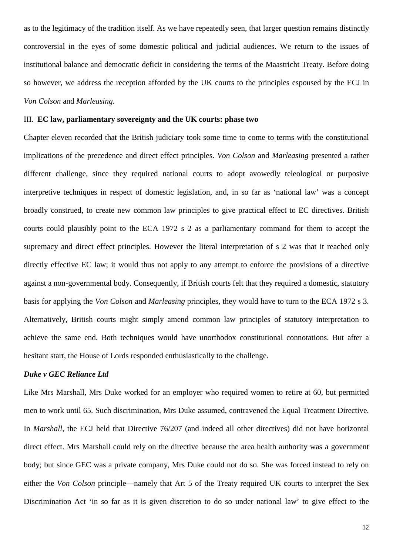as to the legitimacy of the tradition itself. As we have repeatedly seen, that larger question remains distinctly controversial in the eyes of some domestic political and judicial audiences. We return to the issues of institutional balance and democratic deficit in considering the terms of the Maastricht Treaty. Before doing so however, we address the reception afforded by the UK courts to the principles espoused by the ECJ in *Von Colson* and *Marleasing*.

## III. **EC law, parliamentary sovereignty and the UK courts: phase two**

Chapter eleven recorded that the British judiciary took some time to come to terms with the constitutional implications of the precedence and direct effect principles. *Von Colson* and *Marleasing* presented a rather different challenge, since they required national courts to adopt avowedly teleological or purposive interpretive techniques in respect of domestic legislation, and, in so far as 'national law' was a concept broadly construed, to create new common law principles to give practical effect to EC directives. British courts could plausibly point to the ECA 1972 s 2 as a parliamentary command for them to accept the supremacy and direct effect principles. However the literal interpretation of s 2 was that it reached only directly effective EC law; it would thus not apply to any attempt to enforce the provisions of a directive against a non-governmental body. Consequently, if British courts felt that they required a domestic, statutory basis for applying the *Von Colson* and *Marleasing* principles, they would have to turn to the ECA 1972 s 3. Alternatively, British courts might simply amend common law principles of statutory interpretation to achieve the same end. Both techniques would have unorthodox constitutional connotations. But after a hesitant start, the House of Lords responded enthusiastically to the challenge.

## *Duke v GEC Reliance Ltd*

Like Mrs Marshall, Mrs Duke worked for an employer who required women to retire at 60, but permitted men to work until 65. Such discrimination, Mrs Duke assumed, contravened the Equal Treatment Directive. In *Marshall*, the ECJ held that Directive 76/207 (and indeed all other directives) did not have horizontal direct effect. Mrs Marshall could rely on the directive because the area health authority was a government body; but since GEC was a private company, Mrs Duke could not do so. She was forced instead to rely on either the *Von Colson* principle—namely that Art 5 of the Treaty required UK courts to interpret the Sex Discrimination Act 'in so far as it is given discretion to do so under national law' to give effect to the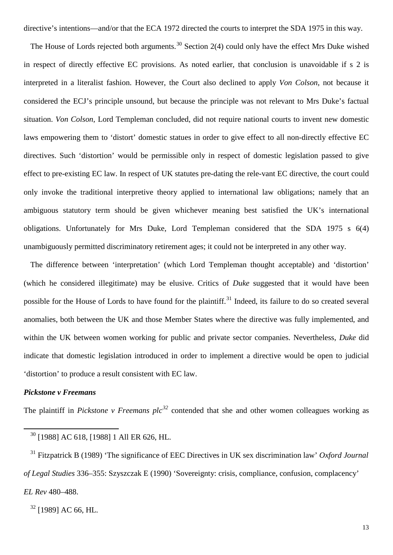directive's intentions—and/or that the ECA 1972 directed the courts to interpret the SDA 1975 in this way.

The House of Lords rejected both arguments.<sup>[30](#page-12-0)</sup> Section 2(4) could only have the effect Mrs Duke wished in respect of directly effective EC provisions. As noted earlier, that conclusion is unavoidable if s 2 is interpreted in a literalist fashion. However, the Court also declined to apply *Von Colson*, not because it considered the ECJ's principle unsound, but because the principle was not relevant to Mrs Duke's factual situation. *Von Colson*, Lord Templeman concluded, did not require national courts to invent new domestic laws empowering them to 'distort' domestic statues in order to give effect to all non-directly effective EC directives. Such 'distortion' would be permissible only in respect of domestic legislation passed to give effect to pre-existing EC law. In respect of UK statutes pre-dating the rele-vant EC directive, the court could only invoke the traditional interpretive theory applied to international law obligations; namely that an ambiguous statutory term should be given whichever meaning best satisfied the UK's international obligations. Unfortunately for Mrs Duke, Lord Templeman considered that the SDA 1975 s 6(4) unambiguously permitted discriminatory retirement ages; it could not be interpreted in any other way.

The difference between 'interpretation' (which Lord Templeman thought acceptable) and 'distortion' (which he considered illegitimate) may be elusive. Critics of *Duke* suggested that it would have been possible for the House of Lords to have found for the plaintiff.<sup>[31](#page-12-1)</sup> Indeed, its failure to do so created several anomalies, both between the UK and those Member States where the directive was fully implemented, and within the UK between women working for public and private sector companies. Nevertheless, *Duke* did indicate that domestic legislation introduced in order to implement a directive would be open to judicial 'distortion' to produce a result consistent with EC law.

#### *Pickstone v Freemans*

<span id="page-12-0"></span><u>.</u>

The plaintiff in *Pickstone v Freemans plc*<sup>[32](#page-12-2)</sup> contended that she and other women colleagues working as

<span id="page-12-1"></span><sup>31</sup> Fitzpatrick B (1989) 'The significance of EEC Directives in UK sex discrimination law' *Oxford Journal of Legal Studies* 336–355: Szyszczak E (1990) 'Sovereignty: crisis, compliance, confusion, complacency' *EL Rev* 480–488.

<span id="page-12-2"></span> $32$  [1989] AC 66, HL.

<sup>30</sup> [1988] AC 618, [1988] 1 All ER 626, HL.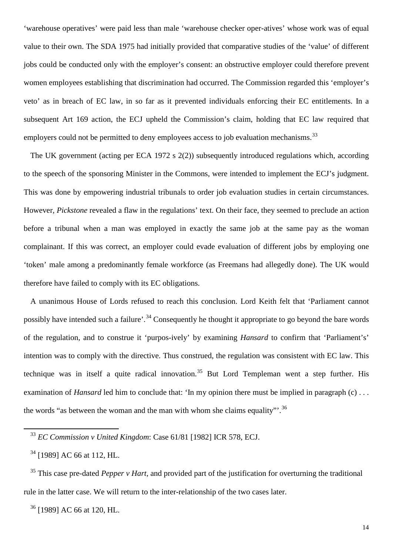'warehouse operatives' were paid less than male 'warehouse checker oper-atives' whose work was of equal value to their own. The SDA 1975 had initially provided that comparative studies of the 'value' of different jobs could be conducted only with the employer's consent: an obstructive employer could therefore prevent women employees establishing that discrimination had occurred. The Commission regarded this 'employer's veto' as in breach of EC law, in so far as it prevented individuals enforcing their EC entitlements. In a subsequent Art 169 action, the ECJ upheld the Commission's claim, holding that EC law required that employers could not be permitted to deny employees access to job evaluation mechanisms.<sup>[33](#page-13-0)</sup>

The UK government (acting per ECA 1972 s 2(2)) subsequently introduced regulations which, according to the speech of the sponsoring Minister in the Commons, were intended to implement the ECJ's judgment. This was done by empowering industrial tribunals to order job evaluation studies in certain circumstances. However, *Pickstone* revealed a flaw in the regulations' text. On their face, they seemed to preclude an action before a tribunal when a man was employed in exactly the same job at the same pay as the woman complainant. If this was correct, an employer could evade evaluation of different jobs by employing one 'token' male among a predominantly female workforce (as Freemans had allegedly done). The UK would therefore have failed to comply with its EC obligations.

A unanimous House of Lords refused to reach this conclusion. Lord Keith felt that 'Parliament cannot possibly have intended such a failure'.<sup>[34](#page-13-1)</sup> Consequently he thought it appropriate to go beyond the bare words of the regulation, and to construe it 'purpos-ively' by examining *Hansard* to confirm that 'Parliament's' intention was to comply with the directive. Thus construed, the regulation was consistent with EC law. This technique was in itself a quite radical innovation.<sup>[35](#page-13-2)</sup> But Lord Templeman went a step further. His examination of *Hansard* led him to conclude that: 'In my opinion there must be implied in paragraph (c) . . . the words "as between the woman and the man with whom she claims equality"<sup>[36](#page-13-3)</sup>

<span id="page-13-0"></span><u>.</u>

<sup>33</sup> *EC Commission v United Kingdom*: Case 61/81 [1982] ICR 578, ECJ.

<sup>&</sup>lt;sup>34</sup> [1989] AC 66 at 112, HL.

<span id="page-13-2"></span><span id="page-13-1"></span><sup>35</sup> This case pre-dated *Pepper v Hart*, and provided part of the justification for overturning the traditional rule in the latter case. We will return to the inter-relationship of the two cases later.

<span id="page-13-3"></span><sup>36</sup> [1989] AC 66 at 120, HL.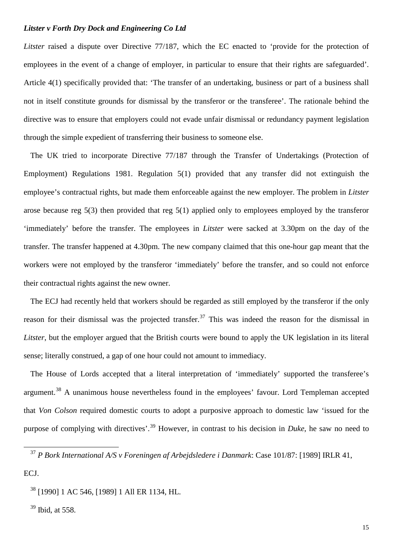#### *Litster v Forth Dry Dock and Engineering Co Ltd*

*Litster* raised a dispute over Directive 77/187, which the EC enacted to 'provide for the protection of employees in the event of a change of employer, in particular to ensure that their rights are safeguarded'. Article 4(1) specifically provided that: 'The transfer of an undertaking, business or part of a business shall not in itself constitute grounds for dismissal by the transferor or the transferee'. The rationale behind the directive was to ensure that employers could not evade unfair dismissal or redundancy payment legislation through the simple expedient of transferring their business to someone else.

The UK tried to incorporate Directive 77/187 through the Transfer of Undertakings (Protection of Employment) Regulations 1981. Regulation 5(1) provided that any transfer did not extinguish the employee's contractual rights, but made them enforceable against the new employer. The problem in *Litster* arose because reg 5(3) then provided that reg 5(1) applied only to employees employed by the transferor 'immediately' before the transfer. The employees in *Litster* were sacked at 3.30pm on the day of the transfer. The transfer happened at 4.30pm. The new company claimed that this one-hour gap meant that the workers were not employed by the transferor 'immediately' before the transfer, and so could not enforce their contractual rights against the new owner.

The ECJ had recently held that workers should be regarded as still employed by the transferor if the only reason for their dismissal was the projected transfer.<sup>[37](#page-14-0)</sup> This was indeed the reason for the dismissal in *Litster*, but the employer argued that the British courts were bound to apply the UK legislation in its literal sense; literally construed, a gap of one hour could not amount to immediacy.

The House of Lords accepted that a literal interpretation of 'immediately' supported the transferee's argument.[38](#page-14-1) A unanimous house nevertheless found in the employees' favour. Lord Templeman accepted that *Von Colson* required domestic courts to adopt a purposive approach to domestic law 'issued for the purpose of complying with directives'.[39](#page-14-2) However, in contrast to his decision in *Duke*, he saw no need to

<span id="page-14-0"></span><sup>37</sup> *P Bork International A/S v Foreningen af Arbejdsledere i Danmark*: Case 101/87: [1989] IRLR 41,

<span id="page-14-1"></span>ECJ.

<sup>38</sup> [1990] 1 AC 546, [1989] 1 All ER 1134, HL.

<span id="page-14-2"></span><sup>39</sup> Ibid, at 558.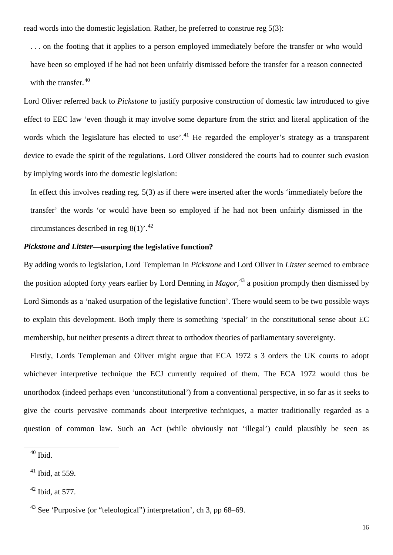read words into the domestic legislation. Rather, he preferred to construe reg 5(3):

. . . on the footing that it applies to a person employed immediately before the transfer or who would have been so employed if he had not been unfairly dismissed before the transfer for a reason connected with the transfer.<sup>[40](#page-15-0)</sup>

Lord Oliver referred back to *Pickstone* to justify purposive construction of domestic law introduced to give effect to EEC law 'even though it may involve some departure from the strict and literal application of the words which the legislature has elected to use<sup> $1$ </sup>. He regarded the employer's strategy as a transparent device to evade the spirit of the regulations. Lord Oliver considered the courts had to counter such evasion by implying words into the domestic legislation:

In effect this involves reading reg. 5(3) as if there were inserted after the words 'immediately before the transfer' the words 'or would have been so employed if he had not been unfairly dismissed in the circumstances described in reg  $8(1)$ <sup>[42](#page-15-2)</sup>

## *Pickstone and Litster***—usurping the legislative function?**

By adding words to legislation, Lord Templeman in *Pickstone* and Lord Oliver in *Litster* seemed to embrace the position adopted forty years earlier by Lord Denning in *Magor*, [43](#page-15-3) a position promptly then dismissed by Lord Simonds as a 'naked usurpation of the legislative function'. There would seem to be two possible ways to explain this development. Both imply there is something 'special' in the constitutional sense about EC membership, but neither presents a direct threat to orthodox theories of parliamentary sovereignty.

Firstly, Lords Templeman and Oliver might argue that ECA 1972 s 3 orders the UK courts to adopt whichever interpretive technique the ECJ currently required of them. The ECA 1972 would thus be unorthodox (indeed perhaps even 'unconstitutional') from a conventional perspective, in so far as it seeks to give the courts pervasive commands about interpretive techniques, a matter traditionally regarded as a question of common law. Such an Act (while obviously not 'illegal') could plausibly be seen as

<span id="page-15-0"></span> $40$  Ibid.

<span id="page-15-1"></span> $41$  Ibid, at 559.

<span id="page-15-2"></span> $42$  Ibid, at 577.

<span id="page-15-3"></span> $43$  See 'Purposive (or "teleological") interpretation', ch 3, pp 68–69.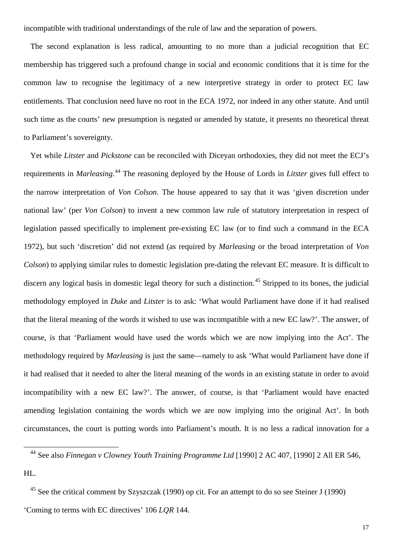incompatible with traditional understandings of the rule of law and the separation of powers.

The second explanation is less radical, amounting to no more than a judicial recognition that EC membership has triggered such a profound change in social and economic conditions that it is time for the common law to recognise the legitimacy of a new interpretive strategy in order to protect EC law entitlements. That conclusion need have no root in the ECA 1972, nor indeed in any other statute. And until such time as the courts' new presumption is negated or amended by statute, it presents no theoretical threat to Parliament's sovereignty.

Yet while *Litster* and *Pickstone* can be reconciled with Diceyan orthodoxies, they did not meet the ECJ's requirements in *Marleasing*. [44](#page-16-0) The reasoning deployed by the House of Lords in *Litster* gives full effect to the narrow interpretation of *Von Colson*. The house appeared to say that it was 'given discretion under national law' (per *Von Colson*) to invent a new common law rule of statutory interpretation in respect of legislation passed specifically to implement pre-existing EC law (or to find such a command in the ECA 1972), but such 'discretion' did not extend (as required by *Marleasing* or the broad interpretation of *Von Colson*) to applying similar rules to domestic legislation pre-dating the relevant EC measure. It is difficult to discern any logical basis in domestic legal theory for such a distinction.<sup>[45](#page-16-1)</sup> Stripped to its bones, the judicial methodology employed in *Duke* and *Litster* is to ask: 'What would Parliament have done if it had realised that the literal meaning of the words it wished to use was incompatible with a new EC law?'. The answer, of course, is that 'Parliament would have used the words which we are now implying into the Act'. The methodology required by *Marleasing* is just the same—namely to ask 'What would Parliament have done if it had realised that it needed to alter the literal meaning of the words in an existing statute in order to avoid incompatibility with a new EC law?'. The answer, of course, is that 'Parliament would have enacted amending legislation containing the words which we are now implying into the original Act'. In both circumstances, the court is putting words into Parliament's mouth. It is no less a radical innovation for a

<span id="page-16-0"></span><sup>44</sup> See also *Finnegan v Clowney Youth Training Programme Ltd* [1990] 2 AC 407, [1990] 2 All ER 546, HL.

<span id="page-16-1"></span><sup>45</sup> See the critical comment by Szyszczak (1990) op cit. For an attempt to do so see Steiner J (1990) 'Coming to terms with EC directives' 106 *LQR* 144.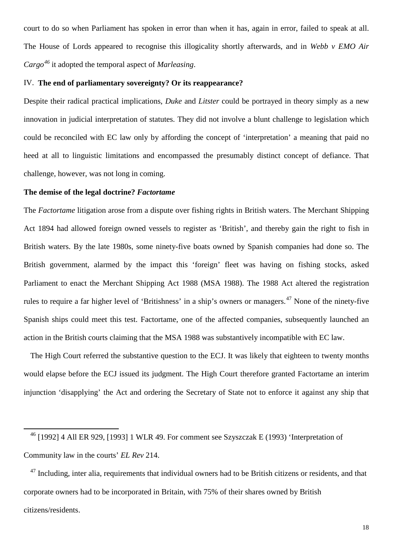court to do so when Parliament has spoken in error than when it has, again in error, failed to speak at all. The House of Lords appeared to recognise this illogicality shortly afterwards, and in *Webb v EMO Air Cargo[46](#page-17-0)* it adopted the temporal aspect of *Marleasing*.

## IV. **The end of parliamentary sovereignty? Or its reappearance?**

Despite their radical practical implications, *Duke* and *Litster* could be portrayed in theory simply as a new innovation in judicial interpretation of statutes. They did not involve a blunt challenge to legislation which could be reconciled with EC law only by affording the concept of 'interpretation' a meaning that paid no heed at all to linguistic limitations and encompassed the presumably distinct concept of defiance. That challenge, however, was not long in coming.

## **The demise of the legal doctrine?** *Factortame*

<u>.</u>

The *Factortame* litigation arose from a dispute over fishing rights in British waters. The Merchant Shipping Act 1894 had allowed foreign owned vessels to register as 'British', and thereby gain the right to fish in British waters. By the late 1980s, some ninety-five boats owned by Spanish companies had done so. The British government, alarmed by the impact this 'foreign' fleet was having on fishing stocks, asked Parliament to enact the Merchant Shipping Act 1988 (MSA 1988). The 1988 Act altered the registration rules to require a far higher level of 'Britishness' in a ship's owners or managers.[47](#page-17-1) None of the ninety-five Spanish ships could meet this test. Factortame, one of the affected companies, subsequently launched an action in the British courts claiming that the MSA 1988 was substantively incompatible with EC law.

The High Court referred the substantive question to the ECJ. It was likely that eighteen to twenty months would elapse before the ECJ issued its judgment. The High Court therefore granted Factortame an interim injunction 'disapplying' the Act and ordering the Secretary of State not to enforce it against any ship that

<span id="page-17-0"></span><sup>&</sup>lt;sup>46</sup> [1992] 4 All ER 929, [1993] 1 WLR 49. For comment see Szyszczak E (1993) 'Interpretation of Community law in the courts' *EL Rev* 214.

<span id="page-17-1"></span><sup>&</sup>lt;sup>47</sup> Including, inter alia, requirements that individual owners had to be British citizens or residents, and that corporate owners had to be incorporated in Britain, with 75% of their shares owned by British citizens/residents.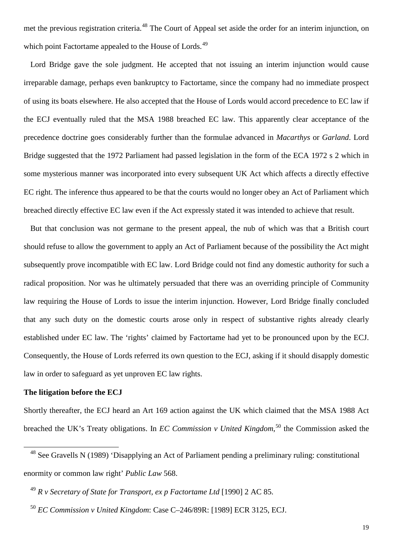met the previous registration criteria.<sup>[48](#page-18-0)</sup> The Court of Appeal set aside the order for an interim injunction, on which point Factortame appealed to the House of Lords.<sup>[49](#page-18-1)</sup>

Lord Bridge gave the sole judgment. He accepted that not issuing an interim injunction would cause irreparable damage, perhaps even bankruptcy to Factortame, since the company had no immediate prospect of using its boats elsewhere. He also accepted that the House of Lords would accord precedence to EC law if the ECJ eventually ruled that the MSA 1988 breached EC law. This apparently clear acceptance of the precedence doctrine goes considerably further than the formulae advanced in *Macarthys* or *Garland*. Lord Bridge suggested that the 1972 Parliament had passed legislation in the form of the ECA 1972 s 2 which in some mysterious manner was incorporated into every subsequent UK Act which affects a directly effective EC right. The inference thus appeared to be that the courts would no longer obey an Act of Parliament which breached directly effective EC law even if the Act expressly stated it was intended to achieve that result.

But that conclusion was not germane to the present appeal, the nub of which was that a British court should refuse to allow the government to apply an Act of Parliament because of the possibility the Act might subsequently prove incompatible with EC law. Lord Bridge could not find any domestic authority for such a radical proposition. Nor was he ultimately persuaded that there was an overriding principle of Community law requiring the House of Lords to issue the interim injunction. However, Lord Bridge finally concluded that any such duty on the domestic courts arose only in respect of substantive rights already clearly established under EC law. The 'rights' claimed by Factortame had yet to be pronounced upon by the ECJ. Consequently, the House of Lords referred its own question to the ECJ, asking if it should disapply domestic law in order to safeguard as yet unproven EC law rights.

#### **The litigation before the ECJ**

-

Shortly thereafter, the ECJ heard an Art 169 action against the UK which claimed that the MSA 1988 Act breached the UK's Treaty obligations. In *EC Commission v United Kingdom*, [50](#page-18-2) the Commission asked the

19

<span id="page-18-0"></span><sup>48</sup> See Gravells N (1989) 'Disapplying an Act of Parliament pending a preliminary ruling: constitutional enormity or common law right' *Public Law* 568.

<span id="page-18-1"></span><sup>49</sup> *R v Secretary of State for Transport, ex p Factortame Ltd* [1990] 2 AC 85.

<span id="page-18-2"></span><sup>50</sup> *EC Commission v United Kingdom*: Case C–246/89R: [1989] ECR 3125, ECJ.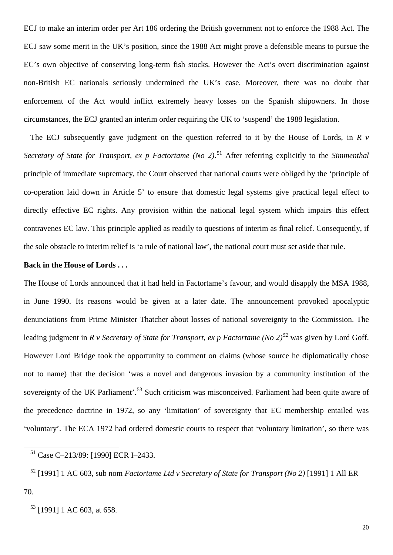ECJ to make an interim order per Art 186 ordering the British government not to enforce the 1988 Act. The ECJ saw some merit in the UK's position, since the 1988 Act might prove a defensible means to pursue the EC's own objective of conserving long-term fish stocks. However the Act's overt discrimination against non-British EC nationals seriously undermined the UK's case. Moreover, there was no doubt that enforcement of the Act would inflict extremely heavy losses on the Spanish shipowners. In those circumstances, the ECJ granted an interim order requiring the UK to 'suspend' the 1988 legislation.

The ECJ subsequently gave judgment on the question referred to it by the House of Lords, in *R v Secretary of State for Transport, ex p Factortame (No 2)*. [51](#page-19-0) After referring explicitly to the *Simmenthal* principle of immediate supremacy, the Court observed that national courts were obliged by the 'principle of co-operation laid down in Article 5' to ensure that domestic legal systems give practical legal effect to directly effective EC rights. Any provision within the national legal system which impairs this effect contravenes EC law. This principle applied as readily to questions of interim as final relief. Consequently, if the sole obstacle to interim relief is 'a rule of national law', the national court must set aside that rule.

#### **Back in the House of Lords . . .**

The House of Lords announced that it had held in Factortame's favour, and would disapply the MSA 1988, in June 1990. Its reasons would be given at a later date. The announcement provoked apocalyptic denunciations from Prime Minister Thatcher about losses of national sovereignty to the Commission. The leading judgment in *R v Secretary of State for Transport, ex p Factortame (No 2)[52](#page-19-1)* was given by Lord Goff. However Lord Bridge took the opportunity to comment on claims (whose source he diplomatically chose not to name) that the decision 'was a novel and dangerous invasion by a community institution of the sovereignty of the UK Parliament'.<sup>[53](#page-19-2)</sup> Such criticism was misconceived. Parliament had been quite aware of the precedence doctrine in 1972, so any 'limitation' of sovereignty that EC membership entailed was 'voluntary'. The ECA 1972 had ordered domestic courts to respect that 'voluntary limitation', so there was

<sup>51</sup> Case C–213/89: [1990] ECR I–2433.

<span id="page-19-1"></span><span id="page-19-0"></span><sup>52</sup> [1991] 1 AC 603, sub nom *Factortame Ltd v Secretary of State for Transport (No 2)* [1991] 1 All ER 70.

<span id="page-19-2"></span><sup>53</sup> [1991] 1 AC 603, at 658.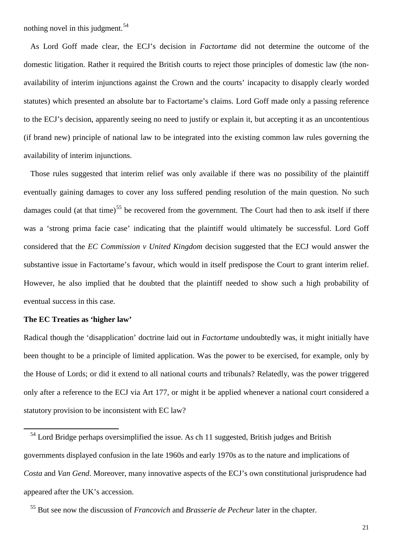nothing novel in this judgment.<sup>[54](#page-20-0)</sup>

As Lord Goff made clear, the ECJ's decision in *Factortame* did not determine the outcome of the domestic litigation. Rather it required the British courts to reject those principles of domestic law (the nonavailability of interim injunctions against the Crown and the courts' incapacity to disapply clearly worded statutes) which presented an absolute bar to Factortame's claims. Lord Goff made only a passing reference to the ECJ's decision, apparently seeing no need to justify or explain it, but accepting it as an uncontentious (if brand new) principle of national law to be integrated into the existing common law rules governing the availability of interim injunctions.

Those rules suggested that interim relief was only available if there was no possibility of the plaintiff eventually gaining damages to cover any loss suffered pending resolution of the main question. No such damages could (at that time)<sup>[55](#page-20-1)</sup> be recovered from the government. The Court had then to ask itself if there was a 'strong prima facie case' indicating that the plaintiff would ultimately be successful. Lord Goff considered that the *EC Commission v United Kingdom* decision suggested that the ECJ would answer the substantive issue in Factortame's favour, which would in itself predispose the Court to grant interim relief. However, he also implied that he doubted that the plaintiff needed to show such a high probability of eventual success in this case.

## **The EC Treaties as 'higher law'**

<u>.</u>

Radical though the 'disapplication' doctrine laid out in *Factortame* undoubtedly was, it might initially have been thought to be a principle of limited application. Was the power to be exercised, for example, only by the House of Lords; or did it extend to all national courts and tribunals? Relatedly, was the power triggered only after a reference to the ECJ via Art 177, or might it be applied whenever a national court considered a statutory provision to be inconsistent with EC law?

<span id="page-20-0"></span><sup>&</sup>lt;sup>54</sup> Lord Bridge perhaps oversimplified the issue. As ch 11 suggested, British judges and British governments displayed confusion in the late 1960s and early 1970s as to the nature and implications of *Costa* and *Van Gend*. Moreover, many innovative aspects of the ECJ's own constitutional jurisprudence had appeared after the UK's accession.

<span id="page-20-1"></span><sup>55</sup> But see now the discussion of *Francovich* and *Brasserie de Pecheur* later in the chapter.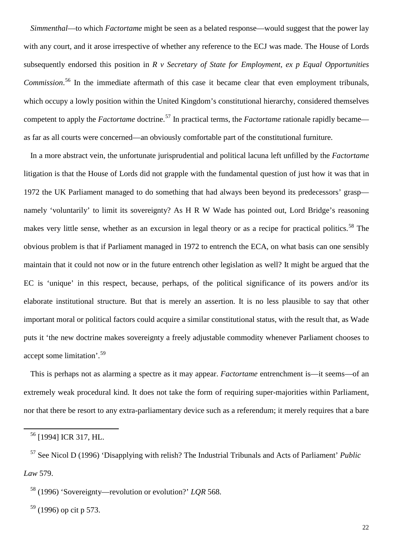*Simmenthal*—to which *Factortame* might be seen as a belated response—would suggest that the power lay with any court, and it arose irrespective of whether any reference to the ECJ was made. The House of Lords subsequently endorsed this position in *R v Secretary of State for Employment, ex p Equal Opportunities Commission*. [56](#page-21-0) In the immediate aftermath of this case it became clear that even employment tribunals, which occupy a lowly position within the United Kingdom's constitutional hierarchy, considered themselves competent to apply the *Factortame* doctrine.<sup>[57](#page-21-1)</sup> In practical terms, the *Factortame* rationale rapidly became as far as all courts were concerned—an obviously comfortable part of the constitutional furniture.

In a more abstract vein, the unfortunate jurisprudential and political lacuna left unfilled by the *Factortame* litigation is that the House of Lords did not grapple with the fundamental question of just how it was that in 1972 the UK Parliament managed to do something that had always been beyond its predecessors' grasp namely 'voluntarily' to limit its sovereignty? As H R W Wade has pointed out, Lord Bridge's reasoning makes very little sense, whether as an excursion in legal theory or as a recipe for practical politics.<sup>[58](#page-21-2)</sup> The obvious problem is that if Parliament managed in 1972 to entrench the ECA, on what basis can one sensibly maintain that it could not now or in the future entrench other legislation as well? It might be argued that the EC is 'unique' in this respect, because, perhaps, of the political significance of its powers and/or its elaborate institutional structure. But that is merely an assertion. It is no less plausible to say that other important moral or political factors could acquire a similar constitutional status, with the result that, as Wade puts it 'the new doctrine makes sovereignty a freely adjustable commodity whenever Parliament chooses to accept some limitation'.[59](#page-21-3)

This is perhaps not as alarming a spectre as it may appear. *Factortame* entrenchment is—it seems—of an extremely weak procedural kind. It does not take the form of requiring super-majorities within Parliament, nor that there be resort to any extra-parliamentary device such as a referendum; it merely requires that a bare

<span id="page-21-0"></span><u>.</u>

<sup>56</sup> [1994] ICR 317, HL.

<span id="page-21-1"></span><sup>57</sup> See Nicol D (1996) 'Disapplying with relish? The Industrial Tribunals and Acts of Parliament' *Public Law* 579.

<span id="page-21-2"></span><sup>58</sup> (1996) 'Sovereignty—revolution or evolution?' *LQR* 568.

<span id="page-21-3"></span> $59$  (1996) op cit p 573.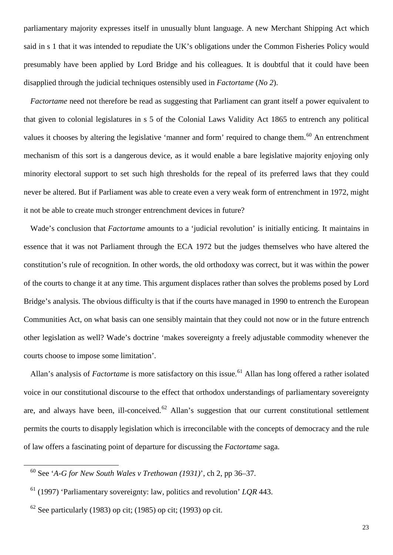parliamentary majority expresses itself in unusually blunt language. A new Merchant Shipping Act which said in s 1 that it was intended to repudiate the UK's obligations under the Common Fisheries Policy would presumably have been applied by Lord Bridge and his colleagues. It is doubtful that it could have been disapplied through the judicial techniques ostensibly used in *Factortame* (*No 2*).

*Factortame* need not therefore be read as suggesting that Parliament can grant itself a power equivalent to that given to colonial legislatures in s 5 of the Colonial Laws Validity Act 1865 to entrench any political values it chooses by altering the legislative 'manner and form' required to change them.<sup>[60](#page-22-0)</sup> An entrenchment mechanism of this sort is a dangerous device, as it would enable a bare legislative majority enjoying only minority electoral support to set such high thresholds for the repeal of its preferred laws that they could never be altered. But if Parliament was able to create even a very weak form of entrenchment in 1972, might it not be able to create much stronger entrenchment devices in future?

Wade's conclusion that *Factortame* amounts to a 'judicial revolution' is initially enticing. It maintains in essence that it was not Parliament through the ECA 1972 but the judges themselves who have altered the constitution's rule of recognition. In other words, the old orthodoxy was correct, but it was within the power of the courts to change it at any time. This argument displaces rather than solves the problems posed by Lord Bridge's analysis. The obvious difficulty is that if the courts have managed in 1990 to entrench the European Communities Act, on what basis can one sensibly maintain that they could not now or in the future entrench other legislation as well? Wade's doctrine 'makes sovereignty a freely adjustable commodity whenever the courts choose to impose some limitation'.

Allan's analysis of *Factortame* is more satisfactory on this issue.<sup>[61](#page-22-1)</sup> Allan has long offered a rather isolated voice in our constitutional discourse to the effect that orthodox understandings of parliamentary sovereignty are, and always have been, ill-conceived.<sup>[62](#page-22-2)</sup> Allan's suggestion that our current constitutional settlement permits the courts to disapply legislation which is irreconcilable with the concepts of democracy and the rule of law offers a fascinating point of departure for discussing the *Factortame* saga.

<span id="page-22-0"></span><sup>60</sup> See '*A-G for New South Wales v Trethowan (1931)*', ch 2, pp 36–37.

<span id="page-22-1"></span><sup>61</sup> (1997) 'Parliamentary sovereignty: law, politics and revolution' *LQR* 443.

<span id="page-22-2"></span> $62$  See particularly (1983) op cit; (1985) op cit; (1993) op cit.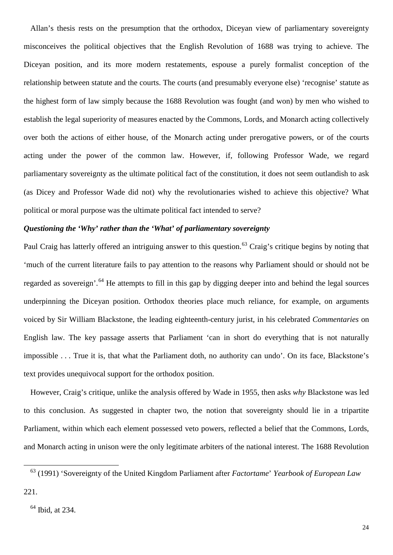Allan's thesis rests on the presumption that the orthodox, Diceyan view of parliamentary sovereignty misconceives the political objectives that the English Revolution of 1688 was trying to achieve. The Diceyan position, and its more modern restatements, espouse a purely formalist conception of the relationship between statute and the courts. The courts (and presumably everyone else) 'recognise' statute as the highest form of law simply because the 1688 Revolution was fought (and won) by men who wished to establish the legal superiority of measures enacted by the Commons, Lords, and Monarch acting collectively over both the actions of either house, of the Monarch acting under prerogative powers, or of the courts acting under the power of the common law. However, if, following Professor Wade, we regard parliamentary sovereignty as the ultimate political fact of the constitution, it does not seem outlandish to ask (as Dicey and Professor Wade did not) why the revolutionaries wished to achieve this objective? What political or moral purpose was the ultimate political fact intended to serve?

# *Questioning the 'Why' rather than the 'What' of parliamentary sovereignty*

Paul Craig has latterly offered an intriguing answer to this question.<sup>[63](#page-23-0)</sup> Craig's critique begins by noting that 'much of the current literature fails to pay attention to the reasons why Parliament should or should not be regarded as sovereign'.<sup>[64](#page-23-1)</sup> He attempts to fill in this gap by digging deeper into and behind the legal sources underpinning the Diceyan position. Orthodox theories place much reliance, for example, on arguments voiced by Sir William Blackstone, the leading eighteenth-century jurist, in his celebrated *Commentaries* on English law. The key passage asserts that Parliament 'can in short do everything that is not naturally impossible . . . True it is, that what the Parliament doth, no authority can undo'. On its face, Blackstone's text provides unequivocal support for the orthodox position.

However, Craig's critique, unlike the analysis offered by Wade in 1955, then asks *why* Blackstone was led to this conclusion. As suggested in chapter two, the notion that sovereignty should lie in a tripartite Parliament, within which each element possessed veto powers, reflected a belief that the Commons, Lords, and Monarch acting in unison were the only legitimate arbiters of the national interest. The 1688 Revolution

<span id="page-23-0"></span><sup>63</sup> (1991) 'Sovereignty of the United Kingdom Parliament after *Factortame*' *Yearbook of European Law* 221.

<span id="page-23-1"></span> $64$  Ibid, at 234.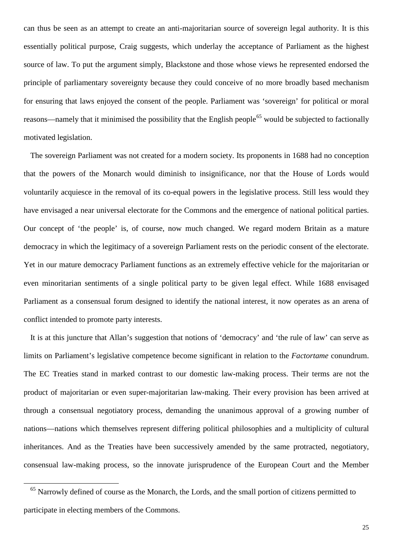can thus be seen as an attempt to create an anti-majoritarian source of sovereign legal authority. It is this essentially political purpose, Craig suggests, which underlay the acceptance of Parliament as the highest source of law. To put the argument simply, Blackstone and those whose views he represented endorsed the principle of parliamentary sovereignty because they could conceive of no more broadly based mechanism for ensuring that laws enjoyed the consent of the people. Parliament was 'sovereign' for political or moral reasons—namely that it minimised the possibility that the English people<sup>[65](#page-24-0)</sup> would be subjected to factionally motivated legislation.

The sovereign Parliament was not created for a modern society. Its proponents in 1688 had no conception that the powers of the Monarch would diminish to insignificance, nor that the House of Lords would voluntarily acquiesce in the removal of its co-equal powers in the legislative process. Still less would they have envisaged a near universal electorate for the Commons and the emergence of national political parties. Our concept of 'the people' is, of course, now much changed. We regard modern Britain as a mature democracy in which the legitimacy of a sovereign Parliament rests on the periodic consent of the electorate. Yet in our mature democracy Parliament functions as an extremely effective vehicle for the majoritarian or even minoritarian sentiments of a single political party to be given legal effect. While 1688 envisaged Parliament as a consensual forum designed to identify the national interest, it now operates as an arena of conflict intended to promote party interests.

It is at this juncture that Allan's suggestion that notions of 'democracy' and 'the rule of law' can serve as limits on Parliament's legislative competence become significant in relation to the *Factortame* conundrum. The EC Treaties stand in marked contrast to our domestic law-making process. Their terms are not the product of majoritarian or even super-majoritarian law-making. Their every provision has been arrived at through a consensual negotiatory process, demanding the unanimous approval of a growing number of nations—nations which themselves represent differing political philosophies and a multiplicity of cultural inheritances. And as the Treaties have been successively amended by the same protracted, negotiatory, consensual law-making process, so the innovate jurisprudence of the European Court and the Member

<span id="page-24-0"></span><sup>&</sup>lt;sup>65</sup> Narrowly defined of course as the Monarch, the Lords, and the small portion of citizens permitted to participate in electing members of the Commons.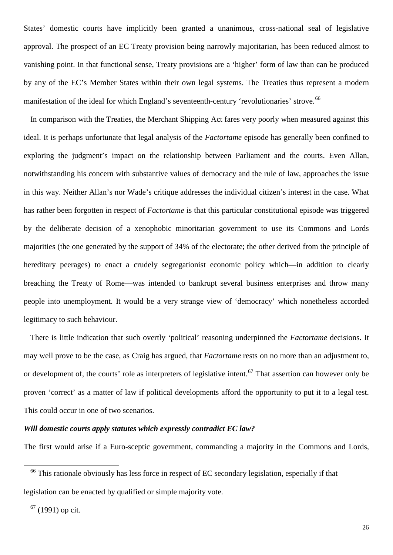States' domestic courts have implicitly been granted a unanimous, cross-national seal of legislative approval. The prospect of an EC Treaty provision being narrowly majoritarian, has been reduced almost to vanishing point. In that functional sense, Treaty provisions are a 'higher' form of law than can be produced by any of the EC's Member States within their own legal systems. The Treaties thus represent a modern manifestation of the ideal for which England's seventeenth-century 'revolutionaries' strove.<sup>[66](#page-25-0)</sup>

In comparison with the Treaties, the Merchant Shipping Act fares very poorly when measured against this ideal. It is perhaps unfortunate that legal analysis of the *Factortame* episode has generally been confined to exploring the judgment's impact on the relationship between Parliament and the courts. Even Allan, notwithstanding his concern with substantive values of democracy and the rule of law, approaches the issue in this way. Neither Allan's nor Wade's critique addresses the individual citizen's interest in the case. What has rather been forgotten in respect of *Factortame* is that this particular constitutional episode was triggered by the deliberate decision of a xenophobic minoritarian government to use its Commons and Lords majorities (the one generated by the support of 34% of the electorate; the other derived from the principle of hereditary peerages) to enact a crudely segregationist economic policy which—in addition to clearly breaching the Treaty of Rome—was intended to bankrupt several business enterprises and throw many people into unemployment. It would be a very strange view of 'democracy' which nonetheless accorded legitimacy to such behaviour.

There is little indication that such overtly 'political' reasoning underpinned the *Factortame* decisions. It may well prove to be the case, as Craig has argued, that *Factortame* rests on no more than an adjustment to, or development of, the courts' role as interpreters of legislative intent.<sup>[67](#page-25-1)</sup> That assertion can however only be proven 'correct' as a matter of law if political developments afford the opportunity to put it to a legal test. This could occur in one of two scenarios.

## *Will domestic courts apply statutes which expressly contradict EC law?*

The first would arise if a Euro-sceptic government, commanding a majority in the Commons and Lords,

<span id="page-25-1"></span> $67$  (1991) op cit.

<span id="page-25-0"></span><sup>&</sup>lt;sup>66</sup> This rationale obviously has less force in respect of EC secondary legislation, especially if that legislation can be enacted by qualified or simple majority vote.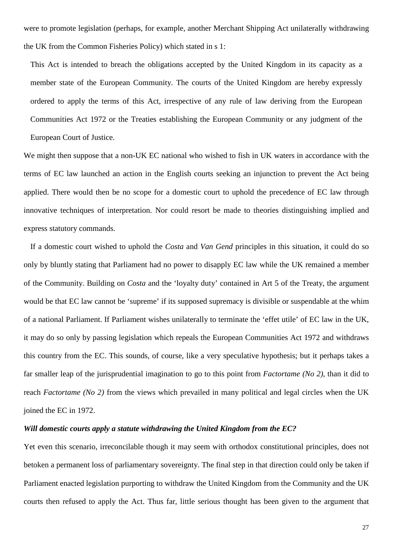were to promote legislation (perhaps, for example, another Merchant Shipping Act unilaterally withdrawing the UK from the Common Fisheries Policy) which stated in s 1:

This Act is intended to breach the obligations accepted by the United Kingdom in its capacity as a member state of the European Community. The courts of the United Kingdom are hereby expressly ordered to apply the terms of this Act, irrespective of any rule of law deriving from the European Communities Act 1972 or the Treaties establishing the European Community or any judgment of the European Court of Justice.

We might then suppose that a non-UK EC national who wished to fish in UK waters in accordance with the terms of EC law launched an action in the English courts seeking an injunction to prevent the Act being applied. There would then be no scope for a domestic court to uphold the precedence of EC law through innovative techniques of interpretation. Nor could resort be made to theories distinguishing implied and express statutory commands.

If a domestic court wished to uphold the *Costa* and *Van Gend* principles in this situation, it could do so only by bluntly stating that Parliament had no power to disapply EC law while the UK remained a member of the Community. Building on *Costa* and the 'loyalty duty' contained in Art 5 of the Treaty, the argument would be that EC law cannot be 'supreme' if its supposed supremacy is divisible or suspendable at the whim of a national Parliament. If Parliament wishes unilaterally to terminate the 'effet utile' of EC law in the UK, it may do so only by passing legislation which repeals the European Communities Act 1972 and withdraws this country from the EC. This sounds, of course, like a very speculative hypothesis; but it perhaps takes a far smaller leap of the jurisprudential imagination to go to this point from *Factortame (No 2)*, than it did to reach *Factortame (No 2)* from the views which prevailed in many political and legal circles when the UK joined the EC in 1972.

## *Will domestic courts apply a statute withdrawing the United Kingdom from the EC?*

Yet even this scenario, irreconcilable though it may seem with orthodox constitutional principles, does not betoken a permanent loss of parliamentary sovereignty. The final step in that direction could only be taken if Parliament enacted legislation purporting to withdraw the United Kingdom from the Community and the UK courts then refused to apply the Act. Thus far, little serious thought has been given to the argument that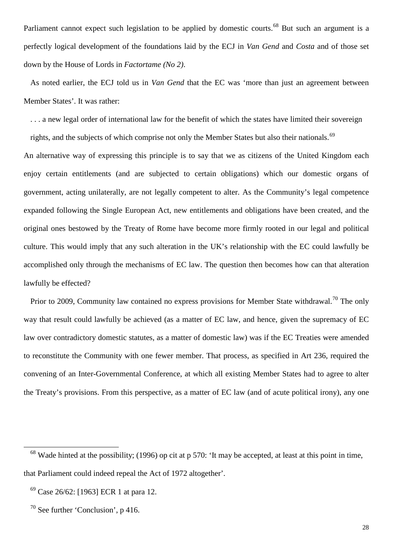Parliament cannot expect such legislation to be applied by domestic courts.<sup>[68](#page-27-0)</sup> But such an argument is a perfectly logical development of the foundations laid by the ECJ in *Van Gend* and *Costa* and of those set down by the House of Lords in *Factortame (No 2)*.

As noted earlier, the ECJ told us in *Van Gend* that the EC was 'more than just an agreement between Member States'. It was rather:

. . . a new legal order of international law for the benefit of which the states have limited their sovereign

rights, and the subjects of which comprise not only the Member States but also their nationals.<sup>[69](#page-27-1)</sup>

An alternative way of expressing this principle is to say that we as citizens of the United Kingdom each enjoy certain entitlements (and are subjected to certain obligations) which our domestic organs of government, acting unilaterally, are not legally competent to alter. As the Community's legal competence expanded following the Single European Act, new entitlements and obligations have been created, and the original ones bestowed by the Treaty of Rome have become more firmly rooted in our legal and political culture. This would imply that any such alteration in the UK's relationship with the EC could lawfully be accomplished only through the mechanisms of EC law. The question then becomes how can that alteration lawfully be effected?

Prior to 2009, Community law contained no express provisions for Member State withdrawal.<sup>[70](#page-27-2)</sup> The only way that result could lawfully be achieved (as a matter of EC law, and hence, given the supremacy of EC law over contradictory domestic statutes, as a matter of domestic law) was if the EC Treaties were amended to reconstitute the Community with one fewer member. That process, as specified in Art 236, required the convening of an Inter-Governmental Conference, at which all existing Member States had to agree to alter the Treaty's provisions. From this perspective, as a matter of EC law (and of acute political irony), any one

<span id="page-27-0"></span><sup>&</sup>lt;sup>68</sup> Wade hinted at the possibility; (1996) op cit at p 570: 'It may be accepted, at least at this point in time, that Parliament could indeed repeal the Act of 1972 altogether'.

<span id="page-27-1"></span> $69$  Case 26/62: [1963] ECR 1 at para 12.

<span id="page-27-2"></span> $70$  See further 'Conclusion', p 416.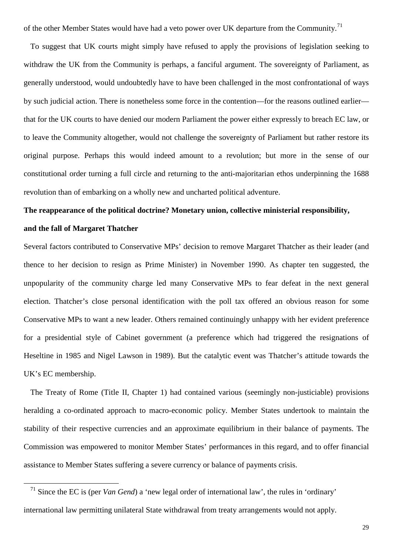of the other Member States would have had a veto power over UK departure from the Community.<sup>[71](#page-28-0)</sup>

To suggest that UK courts might simply have refused to apply the provisions of legislation seeking to withdraw the UK from the Community is perhaps, a fanciful argument. The sovereignty of Parliament, as generally understood, would undoubtedly have to have been challenged in the most confrontational of ways by such judicial action. There is nonetheless some force in the contention—for the reasons outlined earlier that for the UK courts to have denied our modern Parliament the power either expressly to breach EC law, or to leave the Community altogether, would not challenge the sovereignty of Parliament but rather restore its original purpose. Perhaps this would indeed amount to a revolution; but more in the sense of our constitutional order turning a full circle and returning to the anti-majoritarian ethos underpinning the 1688 revolution than of embarking on a wholly new and uncharted political adventure.

# **The reappearance of the political doctrine? Monetary union, collective ministerial responsibility,**

# **and the fall of Margaret Thatcher**

-

Several factors contributed to Conservative MPs' decision to remove Margaret Thatcher as their leader (and thence to her decision to resign as Prime Minister) in November 1990. As chapter ten suggested, the unpopularity of the community charge led many Conservative MPs to fear defeat in the next general election. Thatcher's close personal identification with the poll tax offered an obvious reason for some Conservative MPs to want a new leader. Others remained continuingly unhappy with her evident preference for a presidential style of Cabinet government (a preference which had triggered the resignations of Heseltine in 1985 and Nigel Lawson in 1989). But the catalytic event was Thatcher's attitude towards the UK's EC membership.

The Treaty of Rome (Title II, Chapter 1) had contained various (seemingly non-justiciable) provisions heralding a co-ordinated approach to macro-economic policy. Member States undertook to maintain the stability of their respective currencies and an approximate equilibrium in their balance of payments. The Commission was empowered to monitor Member States' performances in this regard, and to offer financial assistance to Member States suffering a severe currency or balance of payments crisis.

<span id="page-28-0"></span><sup>71</sup> Since the EC is (per *Van Gend*) a 'new legal order of international law', the rules in 'ordinary' international law permitting unilateral State withdrawal from treaty arrangements would not apply.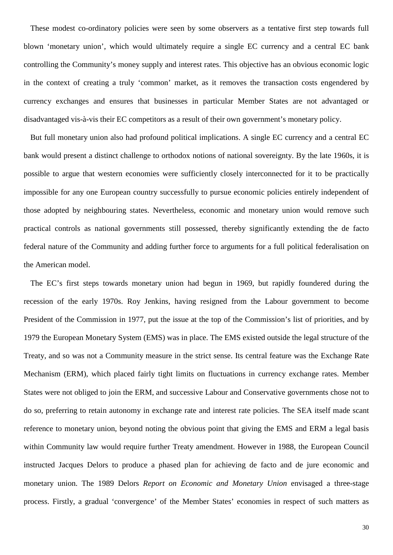These modest co-ordinatory policies were seen by some observers as a tentative first step towards full blown 'monetary union', which would ultimately require a single EC currency and a central EC bank controlling the Community's money supply and interest rates. This objective has an obvious economic logic in the context of creating a truly 'common' market, as it removes the transaction costs engendered by currency exchanges and ensures that businesses in particular Member States are not advantaged or disadvantaged vis-à-vis their EC competitors as a result of their own government's monetary policy.

But full monetary union also had profound political implications. A single EC currency and a central EC bank would present a distinct challenge to orthodox notions of national sovereignty. By the late 1960s, it is possible to argue that western economies were sufficiently closely interconnected for it to be practically impossible for any one European country successfully to pursue economic policies entirely independent of those adopted by neighbouring states. Nevertheless, economic and monetary union would remove such practical controls as national governments still possessed, thereby significantly extending the de facto federal nature of the Community and adding further force to arguments for a full political federalisation on the American model.

The EC's first steps towards monetary union had begun in 1969, but rapidly foundered during the recession of the early 1970s. Roy Jenkins, having resigned from the Labour government to become President of the Commission in 1977, put the issue at the top of the Commission's list of priorities, and by 1979 the European Monetary System (EMS) was in place. The EMS existed outside the legal structure of the Treaty, and so was not a Community measure in the strict sense. Its central feature was the Exchange Rate Mechanism (ERM), which placed fairly tight limits on fluctuations in currency exchange rates. Member States were not obliged to join the ERM, and successive Labour and Conservative governments chose not to do so, preferring to retain autonomy in exchange rate and interest rate policies. The SEA itself made scant reference to monetary union, beyond noting the obvious point that giving the EMS and ERM a legal basis within Community law would require further Treaty amendment. However in 1988, the European Council instructed Jacques Delors to produce a phased plan for achieving de facto and de jure economic and monetary union. The 1989 Delors *Report on Economic and Monetary Union* envisaged a three-stage process. Firstly, a gradual 'convergence' of the Member States' economies in respect of such matters as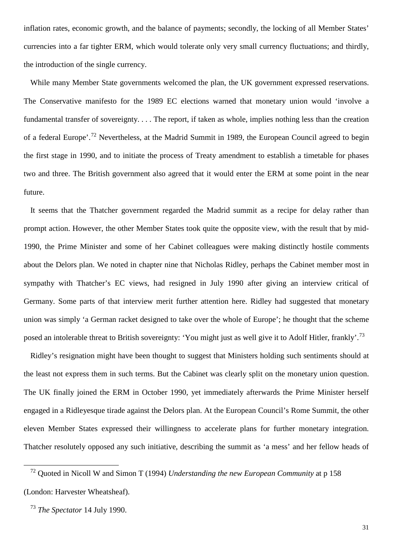inflation rates, economic growth, and the balance of payments; secondly, the locking of all Member States' currencies into a far tighter ERM, which would tolerate only very small currency fluctuations; and thirdly, the introduction of the single currency.

While many Member State governments welcomed the plan, the UK government expressed reservations. The Conservative manifesto for the 1989 EC elections warned that monetary union would 'involve a fundamental transfer of sovereignty. . . . The report, if taken as whole, implies nothing less than the creation of a federal Europe'.[72](#page-30-0) Nevertheless, at the Madrid Summit in 1989, the European Council agreed to begin the first stage in 1990, and to initiate the process of Treaty amendment to establish a timetable for phases two and three. The British government also agreed that it would enter the ERM at some point in the near future.

It seems that the Thatcher government regarded the Madrid summit as a recipe for delay rather than prompt action. However, the other Member States took quite the opposite view, with the result that by mid-1990, the Prime Minister and some of her Cabinet colleagues were making distinctly hostile comments about the Delors plan. We noted in chapter nine that Nicholas Ridley, perhaps the Cabinet member most in sympathy with Thatcher's EC views, had resigned in July 1990 after giving an interview critical of Germany. Some parts of that interview merit further attention here. Ridley had suggested that monetary union was simply 'a German racket designed to take over the whole of Europe'; he thought that the scheme posed an intolerable threat to British sovereignty: 'You might just as well give it to Adolf Hitler, frankly'.<sup>[73](#page-30-1)</sup>

Ridley's resignation might have been thought to suggest that Ministers holding such sentiments should at the least not express them in such terms. But the Cabinet was clearly split on the monetary union question. The UK finally joined the ERM in October 1990, yet immediately afterwards the Prime Minister herself engaged in a Ridleyesque tirade against the Delors plan. At the European Council's Rome Summit, the other eleven Member States expressed their willingness to accelerate plans for further monetary integration. Thatcher resolutely opposed any such initiative, describing the summit as 'a mess' and her fellow heads of

<span id="page-30-0"></span><sup>72</sup> Quoted in Nicoll W and Simon T (1994) *Understanding the new European Community* at p 158 (London: Harvester Wheatsheaf).

<span id="page-30-1"></span><sup>73</sup> *The Spectator* 14 July 1990.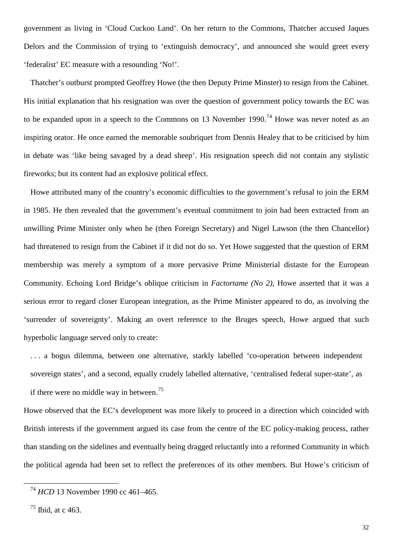government as living in 'Cloud Cuckoo Land'. On her return to the Commons, Thatcher accused Jaques Delors and the Commission of trying to 'extinguish democracy', and announced she would greet every 'federalist' EC measure with a resounding 'No!'.

Thatcher's outburst prompted Geoffrey Howe (the then Deputy Prime Minster) to resign from the Cabinet. His initial explanation that his resignation was over the question of government policy towards the EC was to be expanded upon in a speech to the Commons on 13 November 1990.<sup>[74](#page-31-0)</sup> Howe was never noted as an inspiring orator. He once earned the memorable soubriquet from Dennis Healey that to be criticised by him in debate was 'like being savaged by a dead sheep'. His resignation speech did not contain any stylistic fireworks; but its content had an explosive political effect.

Howe attributed many of the country's economic difficulties to the government's refusal to join the ERM in 1985. He then revealed that the government's eventual commitment to join had been extracted from an unwilling Prime Minister only when he (then Foreign Secretary) and Nigel Lawson (the then Chancellor) had threatened to resign from the Cabinet if it did not do so. Yet Howe suggested that the question of ERM membership was merely a symptom of a more pervasive Prime Ministerial distaste for the European Community. Echoing Lord Bridge's oblique criticism in *Factortame (No 2)*, Howe asserted that it was a serious error to regard closer European integration, as the Prime Minister appeared to do, as involving the 'surrender of sovereignty'. Making an overt reference to the Bruges speech, Howe argued that such hyperbolic language served only to create:

. . . a bogus dilemma, between one alternative, starkly labelled 'co-operation between independent sovereign states', and a second, equally crudely labelled alternative, 'centralised federal super-state', as if there were no middle way in between.<sup>[75](#page-31-1)</sup>

Howe observed that the EC's development was more likely to proceed in a direction which coincided with British interests if the government argued its case from the centre of the EC policy-making process, rather than standing on the sidelines and eventually being dragged reluctantly into a reformed Community in which the political agenda had been set to reflect the preferences of its other members. But Howe's criticism of

<span id="page-31-0"></span><sup>74</sup> *HCD* 13 November 1990 cc 461–465.

<span id="page-31-1"></span> $^{75}$  Ibid, at c 463.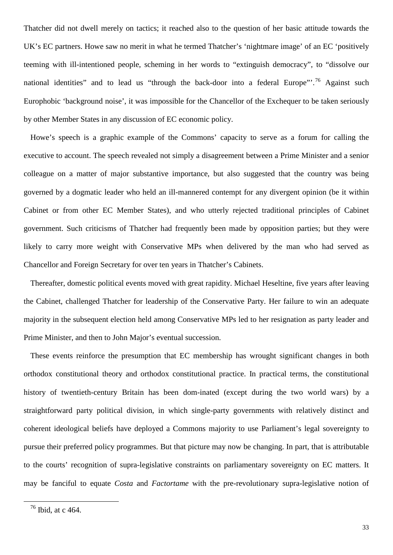Thatcher did not dwell merely on tactics; it reached also to the question of her basic attitude towards the UK's EC partners. Howe saw no merit in what he termed Thatcher's 'nightmare image' of an EC 'positively teeming with ill-intentioned people, scheming in her words to "extinguish democracy", to "dissolve our national identities" and to lead us "through the back-door into a federal Europe"<sup>[76](#page-32-0)</sup> Against such Europhobic 'background noise', it was impossible for the Chancellor of the Exchequer to be taken seriously by other Member States in any discussion of EC economic policy.

Howe's speech is a graphic example of the Commons' capacity to serve as a forum for calling the executive to account. The speech revealed not simply a disagreement between a Prime Minister and a senior colleague on a matter of major substantive importance, but also suggested that the country was being governed by a dogmatic leader who held an ill-mannered contempt for any divergent opinion (be it within Cabinet or from other EC Member States), and who utterly rejected traditional principles of Cabinet government. Such criticisms of Thatcher had frequently been made by opposition parties; but they were likely to carry more weight with Conservative MPs when delivered by the man who had served as Chancellor and Foreign Secretary for over ten years in Thatcher's Cabinets.

Thereafter, domestic political events moved with great rapidity. Michael Heseltine, five years after leaving the Cabinet, challenged Thatcher for leadership of the Conservative Party. Her failure to win an adequate majority in the subsequent election held among Conservative MPs led to her resignation as party leader and Prime Minister, and then to John Major's eventual succession.

These events reinforce the presumption that EC membership has wrought significant changes in both orthodox constitutional theory and orthodox constitutional practice. In practical terms, the constitutional history of twentieth-century Britain has been dom-inated (except during the two world wars) by a straightforward party political division, in which single-party governments with relatively distinct and coherent ideological beliefs have deployed a Commons majority to use Parliament's legal sovereignty to pursue their preferred policy programmes. But that picture may now be changing. In part, that is attributable to the courts' recognition of supra-legislative constraints on parliamentary sovereignty on EC matters. It may be fanciful to equate *Costa* and *Factortame* with the pre-revolutionary supra-legislative notion of

<span id="page-32-0"></span><sup>76</sup> Ibid, at c 464.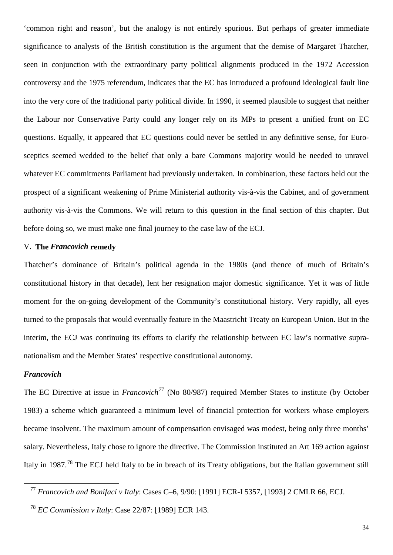'common right and reason', but the analogy is not entirely spurious. But perhaps of greater immediate significance to analysts of the British constitution is the argument that the demise of Margaret Thatcher, seen in conjunction with the extraordinary party political alignments produced in the 1972 Accession controversy and the 1975 referendum, indicates that the EC has introduced a profound ideological fault line into the very core of the traditional party political divide. In 1990, it seemed plausible to suggest that neither the Labour nor Conservative Party could any longer rely on its MPs to present a unified front on EC questions. Equally, it appeared that EC questions could never be settled in any definitive sense, for Eurosceptics seemed wedded to the belief that only a bare Commons majority would be needed to unravel whatever EC commitments Parliament had previously undertaken. In combination, these factors held out the prospect of a significant weakening of Prime Ministerial authority vis-à-vis the Cabinet, and of government authority vis-à-vis the Commons. We will return to this question in the final section of this chapter. But before doing so, we must make one final journey to the case law of the ECJ.

## V. **The** *Francovich* **remedy**

Thatcher's dominance of Britain's political agenda in the 1980s (and thence of much of Britain's constitutional history in that decade), lent her resignation major domestic significance. Yet it was of little moment for the on-going development of the Community's constitutional history. Very rapidly, all eyes turned to the proposals that would eventually feature in the Maastricht Treaty on European Union. But in the interim, the ECJ was continuing its efforts to clarify the relationship between EC law's normative supranationalism and the Member States' respective constitutional autonomy.

## *Francovich*

<span id="page-33-0"></span>-

The EC Directive at issue in *Francovich[77](#page-33-0)* (No 80/987) required Member States to institute (by October 1983) a scheme which guaranteed a minimum level of financial protection for workers whose employers became insolvent. The maximum amount of compensation envisaged was modest, being only three months' salary. Nevertheless, Italy chose to ignore the directive. The Commission instituted an Art 169 action against Italy in 1987.[78](#page-33-1) The ECJ held Italy to be in breach of its Treaty obligations, but the Italian government still

<sup>77</sup> *Francovich and Bonifaci v Italy*: Cases C–6, 9/90: [1991] ECR-I 5357, [1993] 2 CMLR 66, ECJ.

<span id="page-33-1"></span><sup>78</sup> *EC Commission v Italy*: Case 22/87: [1989] ECR 143.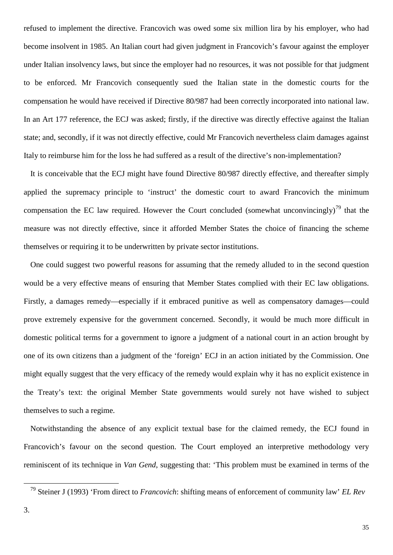refused to implement the directive. Francovich was owed some six million lira by his employer, who had become insolvent in 1985. An Italian court had given judgment in Francovich's favour against the employer under Italian insolvency laws, but since the employer had no resources, it was not possible for that judgment to be enforced. Mr Francovich consequently sued the Italian state in the domestic courts for the compensation he would have received if Directive 80/987 had been correctly incorporated into national law. In an Art 177 reference, the ECJ was asked; firstly, if the directive was directly effective against the Italian state; and, secondly, if it was not directly effective, could Mr Francovich nevertheless claim damages against Italy to reimburse him for the loss he had suffered as a result of the directive's non-implementation?

It is conceivable that the ECJ might have found Directive 80/987 directly effective, and thereafter simply applied the supremacy principle to 'instruct' the domestic court to award Francovich the minimum compensation the EC law required. However the Court concluded (somewhat unconvincingly)<sup>[79](#page-34-0)</sup> that the measure was not directly effective, since it afforded Member States the choice of financing the scheme themselves or requiring it to be underwritten by private sector institutions.

One could suggest two powerful reasons for assuming that the remedy alluded to in the second question would be a very effective means of ensuring that Member States complied with their EC law obligations. Firstly, a damages remedy—especially if it embraced punitive as well as compensatory damages—could prove extremely expensive for the government concerned. Secondly, it would be much more difficult in domestic political terms for a government to ignore a judgment of a national court in an action brought by one of its own citizens than a judgment of the 'foreign' ECJ in an action initiated by the Commission. One might equally suggest that the very efficacy of the remedy would explain why it has no explicit existence in the Treaty's text: the original Member State governments would surely not have wished to subject themselves to such a regime.

Notwithstanding the absence of any explicit textual base for the claimed remedy, the ECJ found in Francovich's favour on the second question. The Court employed an interpretive methodology very reminiscent of its technique in *Van Gend*, suggesting that: 'This problem must be examined in terms of the

<span id="page-34-0"></span><sup>79</sup> Steiner J (1993) 'From direct to *Francovich*: shifting means of enforcement of community law' *EL Rev*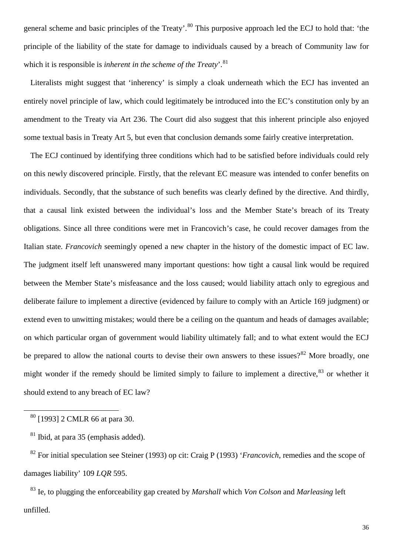general scheme and basic principles of the Treaty'.<sup>[80](#page-35-0)</sup> This purposive approach led the ECJ to hold that: 'the principle of the liability of the state for damage to individuals caused by a breach of Community law for which it is responsible is *inherent in the scheme of the Treaty*<sup>31</sup>.

Literalists might suggest that 'inherency' is simply a cloak underneath which the ECJ has invented an entirely novel principle of law, which could legitimately be introduced into the EC's constitution only by an amendment to the Treaty via Art 236. The Court did also suggest that this inherent principle also enjoyed some textual basis in Treaty Art 5, but even that conclusion demands some fairly creative interpretation.

The ECJ continued by identifying three conditions which had to be satisfied before individuals could rely on this newly discovered principle. Firstly, that the relevant EC measure was intended to confer benefits on individuals. Secondly, that the substance of such benefits was clearly defined by the directive. And thirdly, that a causal link existed between the individual's loss and the Member State's breach of its Treaty obligations. Since all three conditions were met in Francovich's case, he could recover damages from the Italian state. *Francovich* seemingly opened a new chapter in the history of the domestic impact of EC law. The judgment itself left unanswered many important questions: how tight a causal link would be required between the Member State's misfeasance and the loss caused; would liability attach only to egregious and deliberate failure to implement a directive (evidenced by failure to comply with an Article 169 judgment) or extend even to unwitting mistakes; would there be a ceiling on the quantum and heads of damages available; on which particular organ of government would liability ultimately fall; and to what extent would the ECJ be prepared to allow the national courts to devise their own answers to these issues? $82^8$  $82^8$  More broadly, one might wonder if the remedy should be limited simply to failure to implement a directive,  $83$  or whether it should extend to any breach of EC law?

<span id="page-35-0"></span>-

<span id="page-35-2"></span><span id="page-35-1"></span><sup>82</sup> For initial speculation see Steiner (1993) op cit: Craig P (1993) '*Francovich*, remedies and the scope of damages liability' 109 *LQR* 595.

<span id="page-35-3"></span><sup>83</sup> Ie, to plugging the enforceability gap created by *Marshall* which *Von Colson* and *Marleasing* left unfilled.

<sup>80</sup> [1993] 2 CMLR 66 at para 30.

 $81$  Ibid, at para 35 (emphasis added).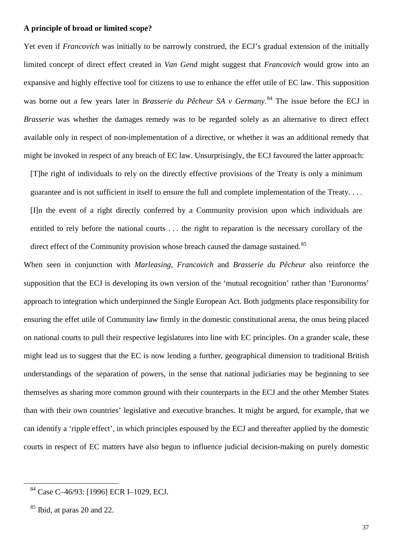#### **A principle of broad or limited scope?**

Yet even if *Francovich* was initially to be narrowly construed, the ECJ's gradual extension of the initially limited concept of direct effect created in *Van Gend* might suggest that *Francovich* would grow into an expansive and highly effective tool for citizens to use to enhance the effet utile of EC law. This supposition was borne out a few years later in *Brasserie du Pêcheur SA v Germany*. [84](#page-36-0) The issue before the ECJ in *Brasserie* was whether the damages remedy was to be regarded solely as an alternative to direct effect available only in respect of non-implementation of a directive, or whether it was an additional remedy that might be invoked in respect of any breach of EC law. Unsurprisingly, the ECJ favoured the latter approach:

[T]he right of individuals to rely on the directly effective provisions of the Treaty is only a minimum guarantee and is not sufficient in itself to ensure the full and complete implementation of the Treaty. . . . [I]n the event of a right directly conferred by a Community provision upon which individuals are entitled to rely before the national courts . . . the right to reparation is the necessary corollary of the direct effect of the Community provision whose breach caused the damage sustained.<sup>[85](#page-36-1)</sup>

When seen in conjunction with *Marleasing, Francovich* and *Brasserie du Pêcheur* also reinforce the supposition that the ECJ is developing its own version of the 'mutual recognition' rather than 'Euronorms' approach to integration which underpinned the Single European Act. Both judgments place responsibility for ensuring the effet utile of Community law firmly in the domestic constitutional arena, the onus being placed on national courts to pull their respective legislatures into line with EC principles. On a grander scale, these might lead us to suggest that the EC is now lending a further, geographical dimension to traditional British understandings of the separation of powers, in the sense that national judiciaries may be beginning to see themselves as sharing more common ground with their counterparts in the ECJ and the other Member States than with their own countries' legislative and executive branches. It might be argued, for example, that we can identify a 'ripple effect', in which principles espoused by the ECJ and thereafter applied by the domestic courts in respect of EC matters have also begun to influence judicial decision-making on purely domestic

<span id="page-36-0"></span><sup>84</sup> Case C–46/93: [1996] ECR I–1029, ECJ.

<span id="page-36-1"></span><sup>85</sup> Ibid, at paras 20 and 22.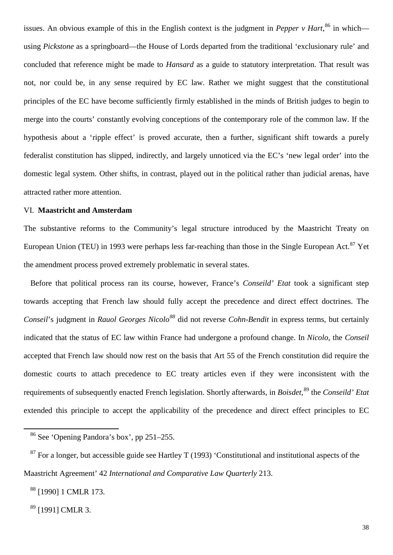issues. An obvious example of this in the English context is the judgment in *Pepper v Hart*,<sup>[86](#page-37-0)</sup> in which using *Pickstone* as a springboard—the House of Lords departed from the traditional 'exclusionary rule' and concluded that reference might be made to *Hansard* as a guide to statutory interpretation. That result was not, nor could be, in any sense required by EC law. Rather we might suggest that the constitutional principles of the EC have become sufficiently firmly established in the minds of British judges to begin to merge into the courts' constantly evolving conceptions of the contemporary role of the common law. If the hypothesis about a 'ripple effect' is proved accurate, then a further, significant shift towards a purely federalist constitution has slipped, indirectly, and largely unnoticed via the EC's 'new legal order' into the domestic legal system. Other shifts, in contrast, played out in the political rather than judicial arenas, have attracted rather more attention.

## VI. **Maastricht and Amsterdam**

The substantive reforms to the Community's legal structure introduced by the Maastricht Treaty on European Union (TEU) in 1993 were perhaps less far-reaching than those in the Single European Act.<sup>[87](#page-37-1)</sup> Yet the amendment process proved extremely problematic in several states.

Before that political process ran its course, however, France's *Conseild' Etat* took a significant step towards accepting that French law should fully accept the precedence and direct effect doctrines. The *Conseil*'s judgment in *Rauol Georges Nicolo[88](#page-37-2)* did not reverse *Cohn-Bendit* in express terms, but certainly indicated that the status of EC law within France had undergone a profound change. In *Nicolo*, the *Conseil* accepted that French law should now rest on the basis that Art 55 of the French constitution did require the domestic courts to attach precedence to EC treaty articles even if they were inconsistent with the requirements of subsequently enacted French legislation. Shortly afterwards, in *Boisdet*, [89](#page-37-3) the *Conseild' Etat* extended this principle to accept the applicability of the precedence and direct effect principles to EC

<span id="page-37-3"></span><sup>89</sup> [1991] CMLR 3.

<span id="page-37-0"></span><u>.</u>

<sup>86</sup> See 'Opening Pandora's box', pp 251–255.

<span id="page-37-1"></span> $87$  For a longer, but accessible guide see Hartley T (1993) 'Constitutional and institutional aspects of the Maastricht Agreement' 42 *International and Comparative Law Quarterly* 213.

<span id="page-37-2"></span><sup>88</sup> [1990] 1 CMLR 173.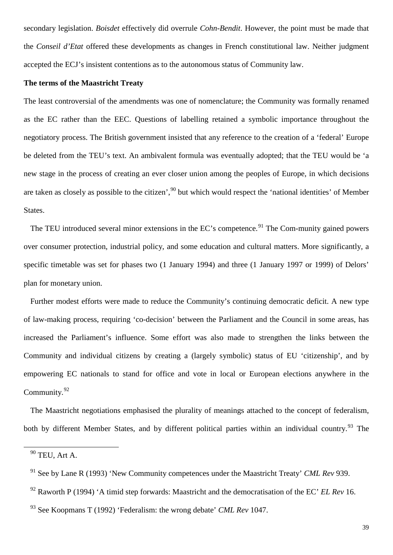secondary legislation. *Boisdet* effectively did overrule *Cohn-Bendit*. However, the point must be made that the *Conseil d'Etat* offered these developments as changes in French constitutional law. Neither judgment accepted the ECJ's insistent contentions as to the autonomous status of Community law.

## **The terms of the Maastricht Treaty**

The least controversial of the amendments was one of nomenclature; the Community was formally renamed as the EC rather than the EEC. Questions of labelling retained a symbolic importance throughout the negotiatory process. The British government insisted that any reference to the creation of a 'federal' Europe be deleted from the TEU's text. An ambivalent formula was eventually adopted; that the TEU would be 'a new stage in the process of creating an ever closer union among the peoples of Europe, in which decisions are taken as closely as possible to the citizen',<sup>[90](#page-38-0)</sup> but which would respect the 'national identities' of Member States.

The TEU introduced several minor extensions in the EC's competence.<sup>[91](#page-38-1)</sup> The Com-munity gained powers over consumer protection, industrial policy, and some education and cultural matters. More significantly, a specific timetable was set for phases two (1 January 1994) and three (1 January 1997 or 1999) of Delors' plan for monetary union.

Further modest efforts were made to reduce the Community's continuing democratic deficit. A new type of law-making process, requiring 'co-decision' between the Parliament and the Council in some areas, has increased the Parliament's influence. Some effort was also made to strengthen the links between the Community and individual citizens by creating a (largely symbolic) status of EU 'citizenship', and by empowering EC nationals to stand for office and vote in local or European elections anywhere in the Community.<sup>[92](#page-38-2)</sup>

The Maastricht negotiations emphasised the plurality of meanings attached to the concept of federalism, both by different Member States, and by different political parties within an individual country.<sup>[93](#page-38-3)</sup> The

<span id="page-38-0"></span><sup>90</sup> TEU, Art A.

<span id="page-38-1"></span><sup>91</sup> See by Lane R (1993) 'New Community competences under the Maastricht Treaty' *CML Rev* 939.

<span id="page-38-2"></span><sup>92</sup> Raworth P (1994) 'A timid step forwards: Maastricht and the democratisation of the EC' *EL Rev* 16.

<span id="page-38-3"></span><sup>93</sup> See Koopmans T (1992) 'Federalism: the wrong debate' *CML Rev* 1047.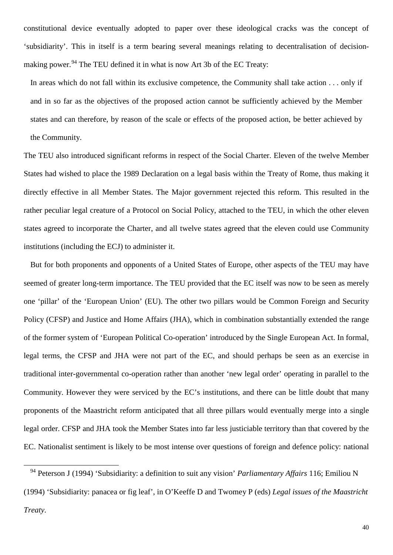constitutional device eventually adopted to paper over these ideological cracks was the concept of 'subsidiarity'. This in itself is a term bearing several meanings relating to decentralisation of decision-making power.<sup>[94](#page-39-0)</sup> The TEU defined it in what is now Art 3b of the EC Treaty:

In areas which do not fall within its exclusive competence, the Community shall take action . . . only if and in so far as the objectives of the proposed action cannot be sufficiently achieved by the Member states and can therefore, by reason of the scale or effects of the proposed action, be better achieved by the Community.

The TEU also introduced significant reforms in respect of the Social Charter. Eleven of the twelve Member States had wished to place the 1989 Declaration on a legal basis within the Treaty of Rome, thus making it directly effective in all Member States. The Major government rejected this reform. This resulted in the rather peculiar legal creature of a Protocol on Social Policy, attached to the TEU, in which the other eleven states agreed to incorporate the Charter, and all twelve states agreed that the eleven could use Community institutions (including the ECJ) to administer it.

But for both proponents and opponents of a United States of Europe, other aspects of the TEU may have seemed of greater long-term importance. The TEU provided that the EC itself was now to be seen as merely one 'pillar' of the 'European Union' (EU). The other two pillars would be Common Foreign and Security Policy (CFSP) and Justice and Home Affairs (JHA), which in combination substantially extended the range of the former system of 'European Political Co-operation' introduced by the Single European Act. In formal, legal terms, the CFSP and JHA were not part of the EC, and should perhaps be seen as an exercise in traditional inter-governmental co-operation rather than another 'new legal order' operating in parallel to the Community. However they were serviced by the EC's institutions, and there can be little doubt that many proponents of the Maastricht reform anticipated that all three pillars would eventually merge into a single legal order. CFSP and JHA took the Member States into far less justiciable territory than that covered by the EC. Nationalist sentiment is likely to be most intense over questions of foreign and defence policy: national

<span id="page-39-0"></span><sup>94</sup> Peterson J (1994) 'Subsidiarity: a definition to suit any vision' *Parliamentary Affairs* 116; Emiliou N (1994) 'Subsidiarity: panacea or fig leaf', in O'Keeffe D and Twomey P (eds) *Legal issues of the Maastricht Treaty*.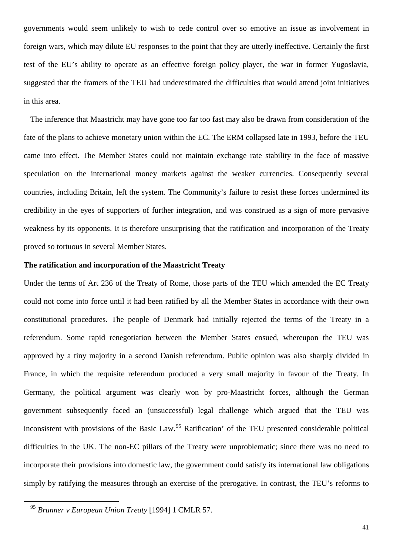governments would seem unlikely to wish to cede control over so emotive an issue as involvement in foreign wars, which may dilute EU responses to the point that they are utterly ineffective. Certainly the first test of the EU's ability to operate as an effective foreign policy player, the war in former Yugoslavia, suggested that the framers of the TEU had underestimated the difficulties that would attend joint initiatives in this area.

The inference that Maastricht may have gone too far too fast may also be drawn from consideration of the fate of the plans to achieve monetary union within the EC. The ERM collapsed late in 1993, before the TEU came into effect. The Member States could not maintain exchange rate stability in the face of massive speculation on the international money markets against the weaker currencies. Consequently several countries, including Britain, left the system. The Community's failure to resist these forces undermined its credibility in the eyes of supporters of further integration, and was construed as a sign of more pervasive weakness by its opponents. It is therefore unsurprising that the ratification and incorporation of the Treaty proved so tortuous in several Member States.

#### **The ratification and incorporation of the Maastricht Treaty**

Under the terms of Art 236 of the Treaty of Rome, those parts of the TEU which amended the EC Treaty could not come into force until it had been ratified by all the Member States in accordance with their own constitutional procedures. The people of Denmark had initially rejected the terms of the Treaty in a referendum. Some rapid renegotiation between the Member States ensued, whereupon the TEU was approved by a tiny majority in a second Danish referendum. Public opinion was also sharply divided in France, in which the requisite referendum produced a very small majority in favour of the Treaty. In Germany, the political argument was clearly won by pro-Maastricht forces, although the German government subsequently faced an (unsuccessful) legal challenge which argued that the TEU was inconsistent with provisions of the Basic Law.<sup>[95](#page-40-0)</sup> Ratification' of the TEU presented considerable political difficulties in the UK. The non-EC pillars of the Treaty were unproblematic; since there was no need to incorporate their provisions into domestic law, the government could satisfy its international law obligations simply by ratifying the measures through an exercise of the prerogative. In contrast, the TEU's reforms to

<span id="page-40-0"></span><sup>95</sup> *Brunner v European Union Treaty* [1994] 1 CMLR 57.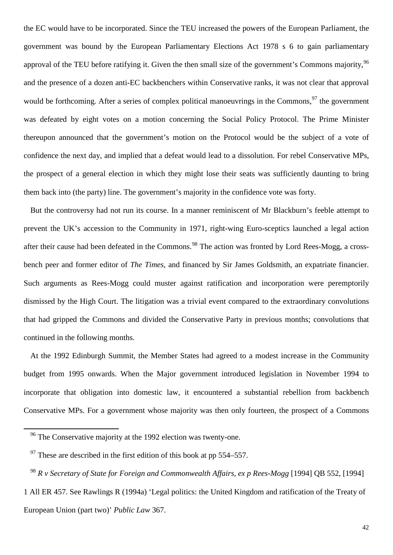the EC would have to be incorporated. Since the TEU increased the powers of the European Parliament, the government was bound by the European Parliamentary Elections Act 1978 s 6 to gain parliamentary approval of the TEU before ratifying it. Given the then small size of the government's Commons majority, <sup>[96](#page-41-0)</sup> and the presence of a dozen anti-EC backbenchers within Conservative ranks, it was not clear that approval would be forthcoming. After a series of complex political manoeuvrings in the Commons,<sup>[97](#page-41-1)</sup> the government was defeated by eight votes on a motion concerning the Social Policy Protocol. The Prime Minister thereupon announced that the government's motion on the Protocol would be the subject of a vote of confidence the next day, and implied that a defeat would lead to a dissolution. For rebel Conservative MPs, the prospect of a general election in which they might lose their seats was sufficiently daunting to bring them back into (the party) line. The government's majority in the confidence vote was forty.

But the controversy had not run its course. In a manner reminiscent of Mr Blackburn's feeble attempt to prevent the UK's accession to the Community in 1971, right-wing Euro-sceptics launched a legal action after their cause had been defeated in the Commons.<sup>[98](#page-41-2)</sup> The action was fronted by Lord Rees-Mogg, a crossbench peer and former editor of *The Times*, and financed by Sir James Goldsmith, an expatriate financier. Such arguments as Rees-Mogg could muster against ratification and incorporation were peremptorily dismissed by the High Court. The litigation was a trivial event compared to the extraordinary convolutions that had gripped the Commons and divided the Conservative Party in previous months; convolutions that continued in the following months.

At the 1992 Edinburgh Summit, the Member States had agreed to a modest increase in the Community budget from 1995 onwards. When the Major government introduced legislation in November 1994 to incorporate that obligation into domestic law, it encountered a substantial rebellion from backbench Conservative MPs. For a government whose majority was then only fourteen, the prospect of a Commons

<span id="page-41-0"></span><u>.</u>

<sup>&</sup>lt;sup>96</sup> The Conservative majority at the 1992 election was twenty-one.

 $97$  These are described in the first edition of this book at pp 554–557.

<span id="page-41-2"></span><span id="page-41-1"></span><sup>98</sup> *R v Secretary of State for Foreign and Commonwealth Affairs, ex p Rees-Mogg* [1994] QB 552, [1994] 1 All ER 457. See Rawlings R (1994a) 'Legal politics: the United Kingdom and ratification of the Treaty of European Union (part two)' *Public Law* 367.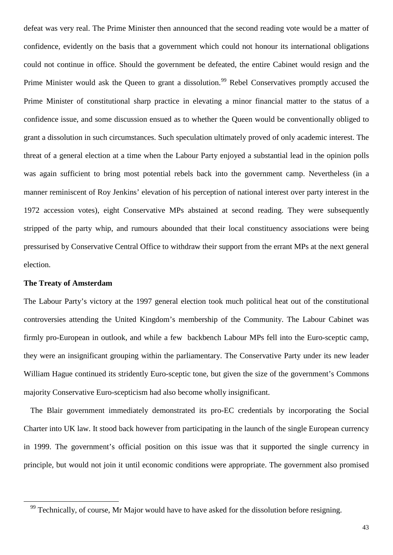defeat was very real. The Prime Minister then announced that the second reading vote would be a matter of confidence, evidently on the basis that a government which could not honour its international obligations could not continue in office. Should the government be defeated, the entire Cabinet would resign and the Prime Minister would ask the Queen to grant a dissolution.<sup>[99](#page-42-0)</sup> Rebel Conservatives promptly accused the Prime Minister of constitutional sharp practice in elevating a minor financial matter to the status of a confidence issue, and some discussion ensued as to whether the Queen would be conventionally obliged to grant a dissolution in such circumstances. Such speculation ultimately proved of only academic interest. The threat of a general election at a time when the Labour Party enjoyed a substantial lead in the opinion polls was again sufficient to bring most potential rebels back into the government camp. Nevertheless (in a manner reminiscent of Roy Jenkins' elevation of his perception of national interest over party interest in the 1972 accession votes), eight Conservative MPs abstained at second reading. They were subsequently stripped of the party whip, and rumours abounded that their local constituency associations were being pressurised by Conservative Central Office to withdraw their support from the errant MPs at the next general election.

#### **The Treaty of Amsterdam**

<span id="page-42-0"></span>-

The Labour Party's victory at the 1997 general election took much political heat out of the constitutional controversies attending the United Kingdom's membership of the Community. The Labour Cabinet was firmly pro-European in outlook, and while a few backbench Labour MPs fell into the Euro-sceptic camp, they were an insignificant grouping within the parliamentary. The Conservative Party under its new leader William Hague continued its stridently Euro-sceptic tone, but given the size of the government's Commons majority Conservative Euro-scepticism had also become wholly insignificant.

The Blair government immediately demonstrated its pro-EC credentials by incorporating the Social Charter into UK law. It stood back however from participating in the launch of the single European currency in 1999. The government's official position on this issue was that it supported the single currency in principle, but would not join it until economic conditions were appropriate. The government also promised

<sup>&</sup>lt;sup>99</sup> Technically, of course, Mr Major would have to have asked for the dissolution before resigning.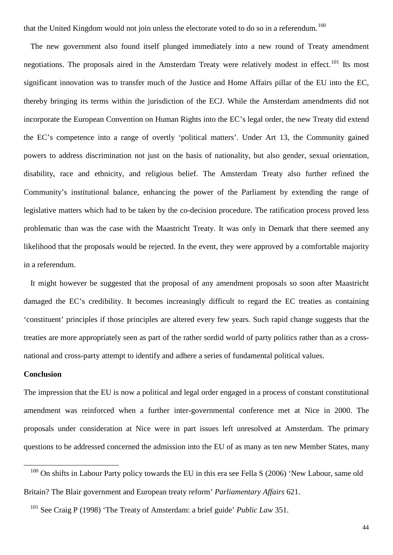that the United Kingdom would not join unless the electorate voted to do so in a referendum.<sup>[100](#page-43-0)</sup>

The new government also found itself plunged immediately into a new round of Treaty amendment negotiations. The proposals aired in the Amsterdam Treaty were relatively modest in effect.<sup>[101](#page-43-1)</sup> Its most significant innovation was to transfer much of the Justice and Home Affairs pillar of the EU into the EC, thereby bringing its terms within the jurisdiction of the ECJ. While the Amsterdam amendments did not incorporate the European Convention on Human Rights into the EC's legal order, the new Treaty did extend the EC's competence into a range of overtly 'political matters'. Under Art 13, the Community gained powers to address discrimination not just on the basis of nationality, but also gender, sexual orientation, disability, race and ethnicity, and religious belief. The Amsterdam Treaty also further refined the Community's institutional balance, enhancing the power of the Parliament by extending the range of legislative matters which had to be taken by the co-decision procedure. The ratification process proved less problematic than was the case with the Maastricht Treaty. It was only in Demark that there seemed any likelihood that the proposals would be rejected. In the event, they were approved by a comfortable majority in a referendum.

It might however be suggested that the proposal of any amendment proposals so soon after Maastricht damaged the EC's credibility. It becomes increasingly difficult to regard the EC treaties as containing 'constituent' principles if those principles are altered every few years. Such rapid change suggests that the treaties are more appropriately seen as part of the rather sordid world of party politics rather than as a crossnational and cross-party attempt to identify and adhere a series of fundamental political values.

#### **Conclusion**

-

The impression that the EU is now a political and legal order engaged in a process of constant constitutional amendment was reinforced when a further inter-governmental conference met at Nice in 2000. The proposals under consideration at Nice were in part issues left unresolved at Amsterdam. The primary questions to be addressed concerned the admission into the EU of as many as ten new Member States, many

<span id="page-43-0"></span> $100$  On shifts in Labour Party policy towards the EU in this era see Fella S (2006) 'New Labour, same old Britain? The Blair government and European treaty reform' *Parliamentary Affairs* 621.

<span id="page-43-1"></span><sup>101</sup> See Craig P (1998) 'The Treaty of Amsterdam: a brief guide' *Public Law* 351.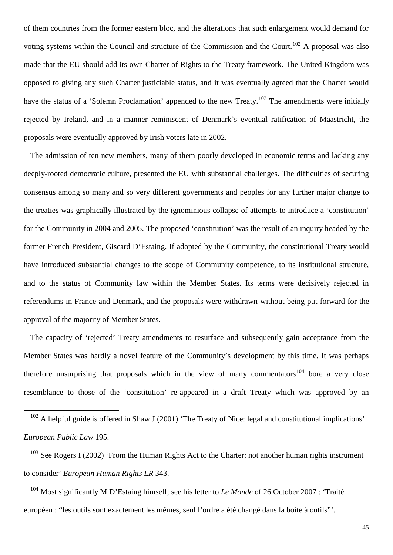of them countries from the former eastern bloc, and the alterations that such enlargement would demand for voting systems within the Council and structure of the Commission and the Court.<sup>[102](#page-44-0)</sup> A proposal was also made that the EU should add its own Charter of Rights to the Treaty framework. The United Kingdom was opposed to giving any such Charter justiciable status, and it was eventually agreed that the Charter would have the status of a 'Solemn Proclamation' appended to the new Treaty.<sup>[103](#page-44-1)</sup> The amendments were initially rejected by Ireland, and in a manner reminiscent of Denmark's eventual ratification of Maastricht, the proposals were eventually approved by Irish voters late in 2002.

The admission of ten new members, many of them poorly developed in economic terms and lacking any deeply-rooted democratic culture, presented the EU with substantial challenges. The difficulties of securing consensus among so many and so very different governments and peoples for any further major change to the treaties was graphically illustrated by the ignominious collapse of attempts to introduce a 'constitution' for the Community in 2004 and 2005. The proposed 'constitution' was the result of an inquiry headed by the former French President, Giscard D'Estaing. If adopted by the Community, the constitutional Treaty would have introduced substantial changes to the scope of Community competence, to its institutional structure, and to the status of Community law within the Member States. Its terms were decisively rejected in referendums in France and Denmark, and the proposals were withdrawn without being put forward for the approval of the majority of Member States.

The capacity of 'rejected' Treaty amendments to resurface and subsequently gain acceptance from the Member States was hardly a novel feature of the Community's development by this time. It was perhaps therefore unsurprising that proposals which in the view of many commentators<sup>[104](#page-44-2)</sup> bore a very close resemblance to those of the 'constitution' re-appeared in a draft Treaty which was approved by an

<span id="page-44-0"></span> $102$  A helpful guide is offered in Shaw J (2001) 'The Treaty of Nice: legal and constitutional implications' *European Public Law* 195.

-

<span id="page-44-1"></span><sup>103</sup> See Rogers I (2002) 'From the Human Rights Act to the Charter: not another human rights instrument to consider' *European Human Rights LR* 343.

<span id="page-44-2"></span><sup>104</sup> Most significantly M D'Estaing himself; see his letter to *Le Monde* of 26 October 2007 : 'Traité européen : "les outils sont exactement les mêmes, seul l'ordre a été changé dans la boîte à outils"'.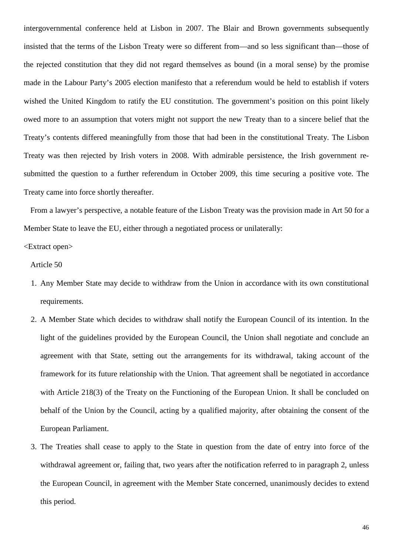intergovernmental conference held at Lisbon in 2007. The Blair and Brown governments subsequently insisted that the terms of the Lisbon Treaty were so different from—and so less significant than—those of the rejected constitution that they did not regard themselves as bound (in a moral sense) by the promise made in the Labour Party's 2005 election manifesto that a referendum would be held to establish if voters wished the United Kingdom to ratify the EU constitution. The government's position on this point likely owed more to an assumption that voters might not support the new Treaty than to a sincere belief that the Treaty's contents differed meaningfully from those that had been in the constitutional Treaty. The Lisbon Treaty was then rejected by Irish voters in 2008. With admirable persistence, the Irish government resubmitted the question to a further referendum in October 2009, this time securing a positive vote. The Treaty came into force shortly thereafter.

From a lawyer's perspective, a notable feature of the Lisbon Treaty was the provision made in Art 50 for a Member State to leave the EU, either through a negotiated process or unilaterally:

<Extract open>

#### Article 50

- 1. Any Member State may decide to withdraw from the Union in accordance with its own constitutional requirements.
- 2. A Member State which decides to withdraw shall notify the European Council of its intention. In the light of the guidelines provided by the European Council, the Union shall negotiate and conclude an agreement with that State, setting out the arrangements for its withdrawal, taking account of the framework for its future relationship with the Union. That agreement shall be negotiated in accordance with Article 218(3) of the Treaty on the Functioning of the European Union. It shall be concluded on behalf of the Union by the Council, acting by a qualified majority, after obtaining the consent of the European Parliament.
- 3. The Treaties shall cease to apply to the State in question from the date of entry into force of the withdrawal agreement or, failing that, two years after the notification referred to in paragraph 2, unless the European Council, in agreement with the Member State concerned, unanimously decides to extend this period.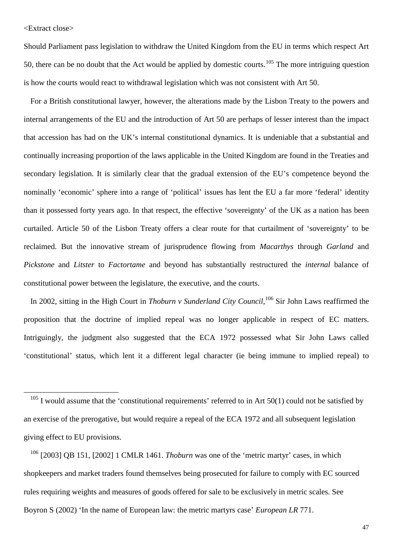## <Extract close>

-

Should Parliament pass legislation to withdraw the United Kingdom from the EU in terms which respect Art 50, there can be no doubt that the Act would be applied by domestic courts.<sup>[105](#page-46-0)</sup> The more intriguing question is how the courts would react to withdrawal legislation which was not consistent with Art 50.

For a British constitutional lawyer, however, the alterations made by the Lisbon Treaty to the powers and internal arrangements of the EU and the introduction of Art 50 are perhaps of lesser interest than the impact that accession has had on the UK's internal constitutional dynamics. It is undeniable that a substantial and continually increasing proportion of the laws applicable in the United Kingdom are found in the Treaties and secondary legislation. It is similarly clear that the gradual extension of the EU's competence beyond the nominally 'economic' sphere into a range of 'political' issues has lent the EU a far more 'federal' identity than it possessed forty years ago. In that respect, the effective 'sovereignty' of the UK as a nation has been curtailed. Article 50 of the Lisbon Treaty offers a clear route for that curtailment of 'sovereignty' to be reclaimed. But the innovative stream of jurisprudence flowing from *Macarthys* through *Garland* and *Pickstone* and *Litster* to *Factortame* and beyond has substantially restructured the *internal* balance of constitutional power between the legislature, the executive, and the courts.

In 2002, sitting in the High Court in *Thoburn v Sunderland City Council*, <sup>[106](#page-46-1)</sup> Sir John Laws reaffirmed the proposition that the doctrine of implied repeal was no longer applicable in respect of EC matters. Intriguingly, the judgment also suggested that the ECA 1972 possessed what Sir John Laws called 'constitutional' status, which lent it a different legal character (ie being immune to implied repeal) to

<span id="page-46-0"></span> $105$  I would assume that the 'constitutional requirements' referred to in Art 50(1) could not be satisfied by an exercise of the prerogative, but would require a repeal of the ECA 1972 and all subsequent legislation giving effect to EU provisions.

<span id="page-46-1"></span><sup>106</sup> [2003] QB 151, [2002] 1 CMLR 1461. *Thoburn* was one of the 'metric martyr' cases, in which shopkeepers and market traders found themselves being prosecuted for failure to comply with EC sourced rules requiring weights and measures of goods offered for sale to be exclusively in metric scales. See Boyron S (2002) 'In the name of European law: the metric martyrs case' *European LR* 771.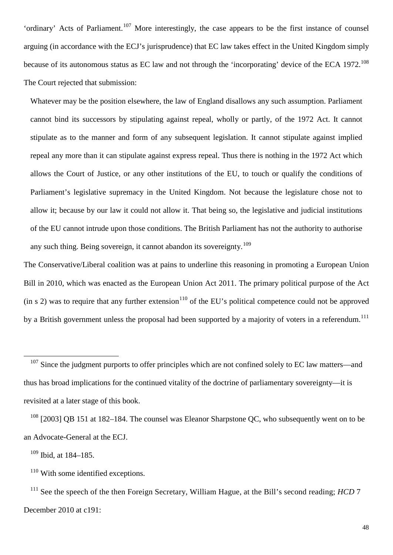'ordinary' Acts of Parliament.<sup>[107](#page-47-0)</sup> More interestingly, the case appears to be the first instance of counsel arguing (in accordance with the ECJ's jurisprudence) that EC law takes effect in the United Kingdom simply because of its autonomous status as EC law and not through the 'incorporating' device of the ECA 1972.<sup>[108](#page-47-1)</sup> The Court rejected that submission:

Whatever may be the position elsewhere, the law of England disallows any such assumption. Parliament cannot bind its successors by stipulating against repeal, wholly or partly, of the 1972 Act. It cannot stipulate as to the manner and form of any subsequent legislation. It cannot stipulate against implied repeal any more than it can stipulate against express repeal. Thus there is nothing in the 1972 Act which allows the Court of Justice, or any other institutions of the EU, to touch or qualify the conditions of Parliament's legislative supremacy in the United Kingdom. Not because the legislature chose not to allow it; because by our law it could not allow it. That being so, the legislative and judicial institutions of the EU cannot intrude upon those conditions. The British Parliament has not the authority to authorise any such thing. Being sovereign, it cannot abandon its sovereignty.<sup>[109](#page-47-2)</sup>

The Conservative/Liberal coalition was at pains to underline this reasoning in promoting a European Union Bill in 2010, which was enacted as the European Union Act 2011. The primary political purpose of the Act  $(in s 2)$  was to require that any further extension<sup>[110](#page-47-3)</sup> of the EU's political competence could not be approved by a British government unless the proposal had been supported by a majority of voters in a referendum.<sup>[111](#page-47-4)</sup>

<span id="page-47-0"></span><sup>&</sup>lt;sup>107</sup> Since the judgment purports to offer principles which are not confined solely to EC law matters—and thus has broad implications for the continued vitality of the doctrine of parliamentary sovereignty—it is revisited at a later stage of this book.

<span id="page-47-1"></span> $108$  [2003] QB 151 at 182–184. The counsel was Eleanor Sharpstone QC, who subsequently went on to be an Advocate-General at the ECJ.

<span id="page-47-2"></span><sup>109</sup> Ibid, at 184–185.

 $110$  With some identified exceptions.

<span id="page-47-4"></span><span id="page-47-3"></span><sup>111</sup> See the speech of the then Foreign Secretary, William Hague, at the Bill's second reading; *HCD* 7 December 2010 at c191: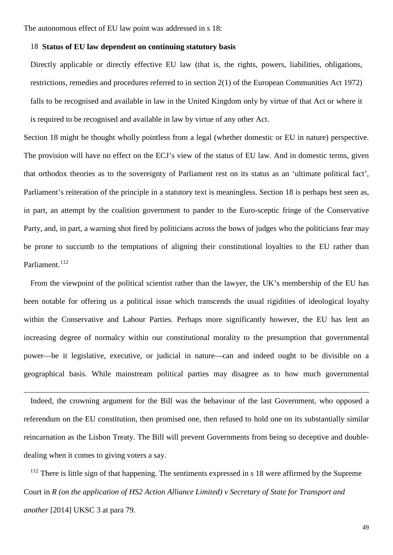The autonomous effect of EU law point was addressed in s 18:

-

#### 18 **Status of EU law dependent on continuing statutory basis**

Directly applicable or directly effective EU law (that is, the rights, powers, liabilities, obligations, restrictions, remedies and procedures referred to in section 2(1) of the European Communities Act 1972) falls to be recognised and available in law in the United Kingdom only by virtue of that Act or where it is required to be recognised and available in law by virtue of any other Act.

Section 18 might be thought wholly pointless from a legal (whether domestic or EU in nature) perspective. The provision will have no effect on the ECJ's view of the status of EU law. And in domestic terms, given that orthodox theories as to the sovereignty of Parliament rest on its status as an 'ultimate political fact', Parliament's reiteration of the principle in a statutory text is meaningless. Section 18 is perhaps best seen as, in part, an attempt by the coalition government to pander to the Euro-sceptic fringe of the Conservative Party, and, in part, a warning shot fired by politicians across the bows of judges who the politicians fear may be prone to succumb to the temptations of aligning their constitutional loyalties to the EU rather than Parliament.<sup>[112](#page-48-0)</sup>

From the viewpoint of the political scientist rather than the lawyer, the UK's membership of the EU has been notable for offering us a political issue which transcends the usual rigidities of ideological loyalty within the Conservative and Labour Parties. Perhaps more significantly however, the EU has lent an increasing degree of normalcy within our constitutional morality to the presumption that governmental power—be it legislative, executive, or judicial in nature—can and indeed ought to be divisible on a geographical basis. While mainstream political parties may disagree as to how much governmental

Indeed, the crowning argument for the Bill was the behaviour of the last Government, who opposed a referendum on the EU constitution, then promised one, then refused to hold one on its substantially similar reincarnation as the Lisbon Treaty. The Bill will prevent Governments from being so deceptive and doubledealing when it comes to giving voters a say.

<span id="page-48-0"></span> $112$  There is little sign of that happening. The sentiments expressed in s 18 were affirmed by the Supreme Court in *R (on the application of HS2 Action Alliance Limited) v Secretary of State for Transport and another* [2014] UKSC 3 at para 79.